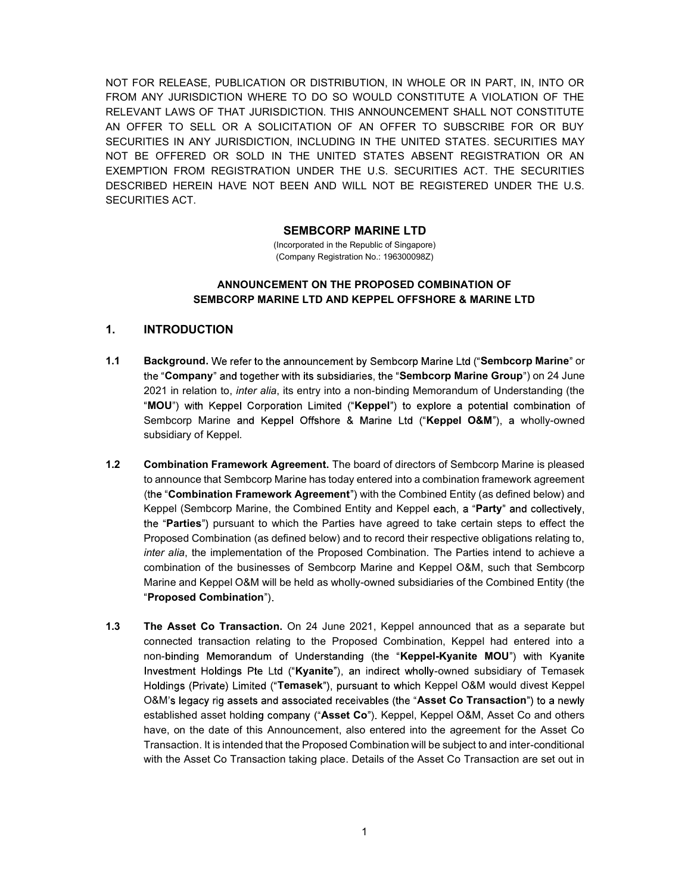NOT FOR RELEASE, PUBLICATION OR DISTRIBUTION, IN WHOLE OR IN PART, IN, INTO OR FROM ANY JURISDICTION WHERE TO DO SO WOULD CONSTITUTE A VIOLATION OF THE RELEVANT LAWS OF THAT JURISDICTION. THIS ANNOUNCEMENT SHALL NOT CONSTITUTE AN OFFER TO SELL OR A SOLICITATION OF AN OFFER TO SUBSCRIBE FOR OR BUY SECURITIES IN ANY JURISDICTION, INCLUDING IN THE UNITED STATES. SECURITIES MAY NOT BE OFFERED OR SOLD IN THE UNITED STATES ABSENT REGISTRATION OR AN EXEMPTION FROM REGISTRATION UNDER THE U.S. SECURITIES ACT. THE SECURITIES DESCRIBED HEREIN HAVE NOT BEEN AND WILL NOT BE REGISTERED UNDER THE U.S. SECURITIES ACT.

#### SEMBCORP MARINE LTD

(Incorporated in the Republic of Singapore) (Company Registration No.: 196300098Z)

#### ANNOUNCEMENT ON THE PROPOSED COMBINATION OF SEMBCORP MARINE LTD AND KEPPEL OFFSHORE & MARINE LTD

#### 1. INTRODUCTION

- 1.1 Background. We refer to the announcement by Sembcorp Marine Ltd ("Sembcorp Marine" or the "Company" and together with its subsidiaries, the "Sembcorp Marine Group") on 24 June 2021 in relation to, inter alia, its entry into a non-binding Memorandum of Understanding (the "MOU") with Keppel Corporation Limited ("Keppel") to explore a potential combination of Sembcorp Marine and Keppel Offshore & Marine Ltd ("Keppel O&M"), a wholly-owned subsidiary of Keppel.
- 1.2 Combination Framework Agreement. The board of directors of Sembcorp Marine is pleased to announce that Sembcorp Marine has today entered into a combination framework agreement (the "Combination Framework Agreement") with the Combined Entity (as defined below) and Keppel (Sembcorp Marine, the Combined Entity and Keppel each, a "**Party**" and collectively, the "Parties") pursuant to which the Parties have agreed to take certain steps to effect the Proposed Combination (as defined below) and to record their respective obligations relating to, inter alia, the implementation of the Proposed Combination. The Parties intend to achieve a combination of the businesses of Sembcorp Marine and Keppel O&M, such that Sembcorp Marine and Keppel O&M will be held as wholly-owned subsidiaries of the Combined Entity (the "Proposed Combination")
- 1.3 The Asset Co Transaction. On 24 June 2021, Keppel announced that as a separate but connected transaction relating to the Proposed Combination, Keppel had entered into a non-binding Memorandum of Understanding (the "Keppel-Kyanite MOU") with Kyanite Investment Holdings Pte Ltd ("Kyanite"), an indirect wholly-owned subsidiary of Temasek Holdings (Private) Limited ("Temasek"), pursuant to which Keppel O&M would divest Keppel O&M's legacy rig assets and associated receivables (the "Asset Co Transaction") to a newly established asset holding company ("Asset Co"). Keppel, Keppel O&M, Asset Co and others have, on the date of this Announcement, also entered into the agreement for the Asset Co Transaction. It is intended that the Proposed Combination will be subject to and inter-conditional with the Asset Co Transaction taking place. Details of the Asset Co Transaction are set out in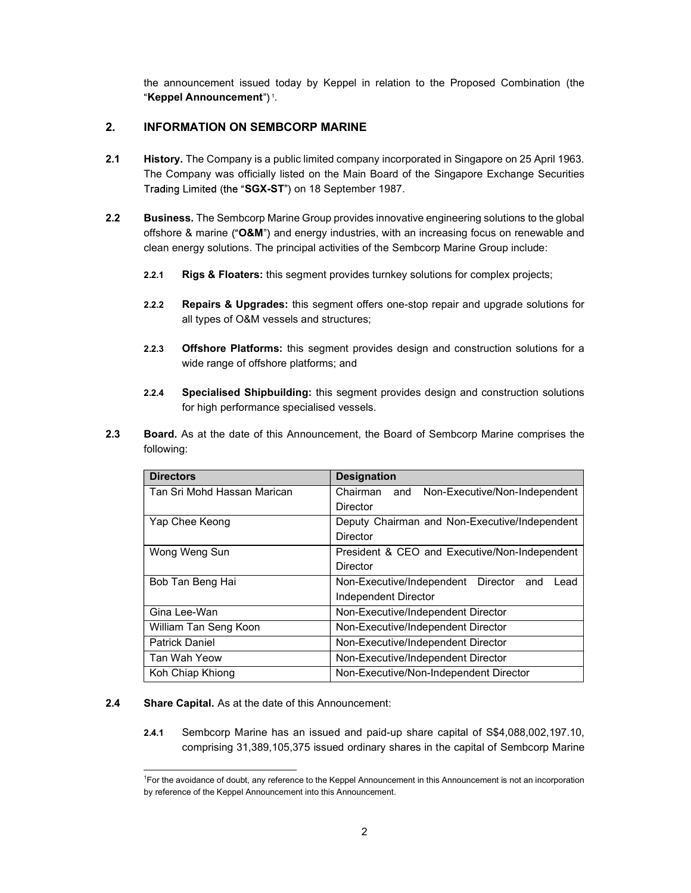the announcement issued today by Keppel in relation to the Proposed Combination (the Keppel Announcement")<sup>1</sup>.

## 2. INFORMATION ON SEMBCORP MARINE

- 2.1 History. The Company is a public limited company incorporated in Singapore on 25 April 1963. The Company was officially listed on the Main Board of the Singapore Exchange Securities Trading Limited (the "SGX-ST") on 18 September 1987.
- 2.2 Business. The Sembcorp Marine Group provides innovative engineering solutions to the global offshore & marine (" $O&M$ ") and energy industries, with an increasing focus on renewable and clean energy solutions. The principal activities of the Sembcorp Marine Group include:
	- 2.2.1 Rigs & Floaters: this segment provides turnkey solutions for complex projects;
	- 2.2.2 Repairs & Upgrades: this segment offers one-stop repair and upgrade solutions for all types of O&M vessels and structures;
	- 2.2.3 **Offshore Platforms:** this segment provides design and construction solutions for a wide range of offshore platforms; and
	- 2.2.4 Specialised Shipbuilding: this segment provides design and construction solutions for high performance specialised vessels.
- 2.3 Board. As at the date of this Announcement, the Board of Sembcorp Marine comprises the following:

| <b>Directors</b>            | <b>Designation</b>                                |
|-----------------------------|---------------------------------------------------|
| Tan Sri Mohd Hassan Marican | Chairman<br>Non-Executive/Non-Independent<br>and  |
|                             | Director                                          |
| Yap Chee Keong              | Deputy Chairman and Non-Executive/Independent     |
|                             | Director                                          |
| Wong Weng Sun               | President & CEO and Executive/Non-Independent     |
|                             | Director                                          |
| Bob Tan Beng Hai            | Non-Executive/Independent Director<br>and<br>Lead |
|                             | Independent Director                              |
| Gina Lee-Wan                | Non-Executive/Independent Director                |
| William Tan Seng Koon       | Non-Executive/Independent Director                |
| <b>Patrick Daniel</b>       | Non-Executive/Independent Director                |
| Tan Wah Yeow                | Non-Executive/Independent Director                |
| Koh Chiap Khiong            | Non-Executive/Non-Independent Director            |

#### 2.4 Share Capital. As at the date of this Announcement:

2.4.1 Sembcorp Marine has an issued and paid-up share capital of S\$4,088,002,197.10, comprising 31,389,105,375 issued ordinary shares in the capital of Sembcorp Marine

<sup>1</sup>For the avoidance of doubt, any reference to the Keppel Announcement in this Announcement is not an incorporation by reference of the Keppel Announcement into this Announcement.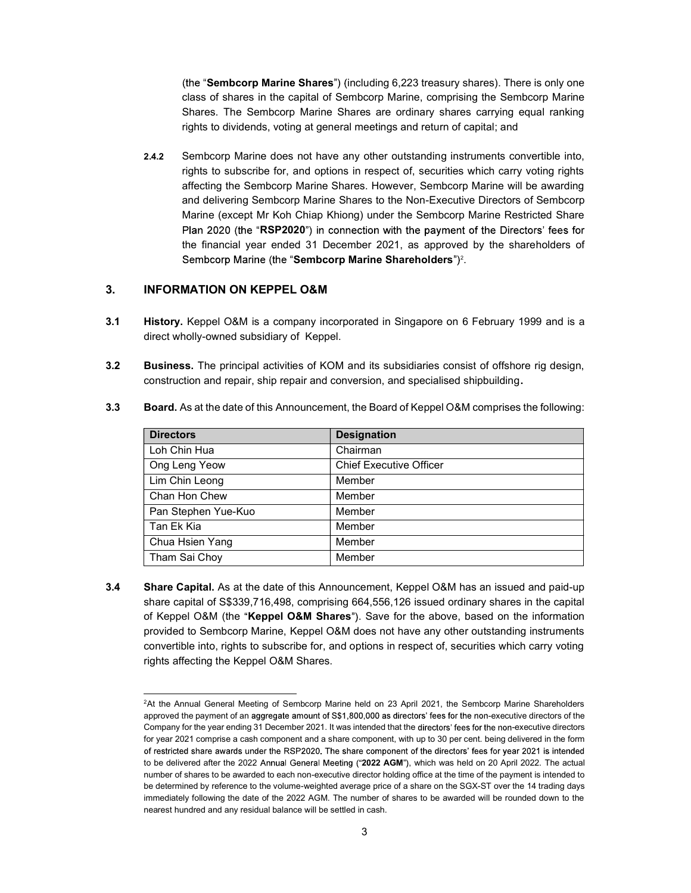(the "Sembcorp Marine Shares") (including  $6,223$  treasury shares). There is only one class of shares in the capital of Sembcorp Marine, comprising the Sembcorp Marine Shares. The Sembcorp Marine Shares are ordinary shares carrying equal ranking rights to dividends, voting at general meetings and return of capital; and

2.4.2 Sembcorp Marine does not have any other outstanding instruments convertible into, rights to subscribe for, and options in respect of, securities which carry voting rights affecting the Sembcorp Marine Shares. However, Sembcorp Marine will be awarding and delivering Sembcorp Marine Shares to the Non-Executive Directors of Sembcorp Marine (except Mr Koh Chiap Khiong) under the Sembcorp Marine Restricted Share Plan 2020 (the "RSP2020") in connection with the payment of the Directors' fees for the financial year ended 31 December 2021, as approved by the shareholders of Sembcorp Marine Shareholders")<sup>2</sup>.

#### 3. INFORMATION ON KEPPEL O&M

- 3.1 History. Keppel O&M is a company incorporated in Singapore on 6 February 1999 and is a direct wholly-owned subsidiary of Keppel.
- 3.2 Business. The principal activities of KOM and its subsidiaries consist of offshore rig design, construction and repair, ship repair and conversion, and specialised shipbuilding.

| <b>Directors</b>    | <b>Designation</b>             |
|---------------------|--------------------------------|
| Loh Chin Hua        | Chairman                       |
| Ong Leng Yeow       | <b>Chief Executive Officer</b> |
| Lim Chin Leong      | Member                         |
| Chan Hon Chew       | Member                         |
| Pan Stephen Yue-Kuo | Member                         |
| Tan Ek Kia          | Member                         |
| Chua Hsien Yang     | Member                         |
| Tham Sai Choy       | Member                         |

3.3 Board. As at the date of this Announcement, the Board of Keppel O&M comprises the following:

3.4 Share Capital. As at the date of this Announcement, Keppel O&M has an issued and paid-up share capital of S\$339,716,498, comprising 664,556,126 issued ordinary shares in the capital of Keppel O&M (the "Keppel O&M Shares"). Save for the above, based on the information provided to Sembcorp Marine, Keppel O&M does not have any other outstanding instruments convertible into, rights to subscribe for, and options in respect of, securities which carry voting rights affecting the Keppel O&M Shares.

<sup>&</sup>lt;sup>2</sup>At the Annual General Meeting of Sembcorp Marine held on 23 April 2021, the Sembcorp Marine Shareholders approved the payment of an aggregate amount of S\$1,800,000 as directors' fees for the non-executive directors of the Company for the year ending 31 December 2021. It was intended that the directors' fees for the non-executive directors for year 2021 comprise a cash component and a share component, with up to 30 per cent. being delivered in the form of restricted share awards under the RSP2020. The share component of the directors' fees for year 2021 is intended to be delivered after the 2022 Annual General Meeting ("2022 AGM"), which was held on 20 April 2022. The actual number of shares to be awarded to each non-executive director holding office at the time of the payment is intended to be determined by reference to the volume-weighted average price of a share on the SGX-ST over the 14 trading days immediately following the date of the 2022 AGM. The number of shares to be awarded will be rounded down to the nearest hundred and any residual balance will be settled in cash.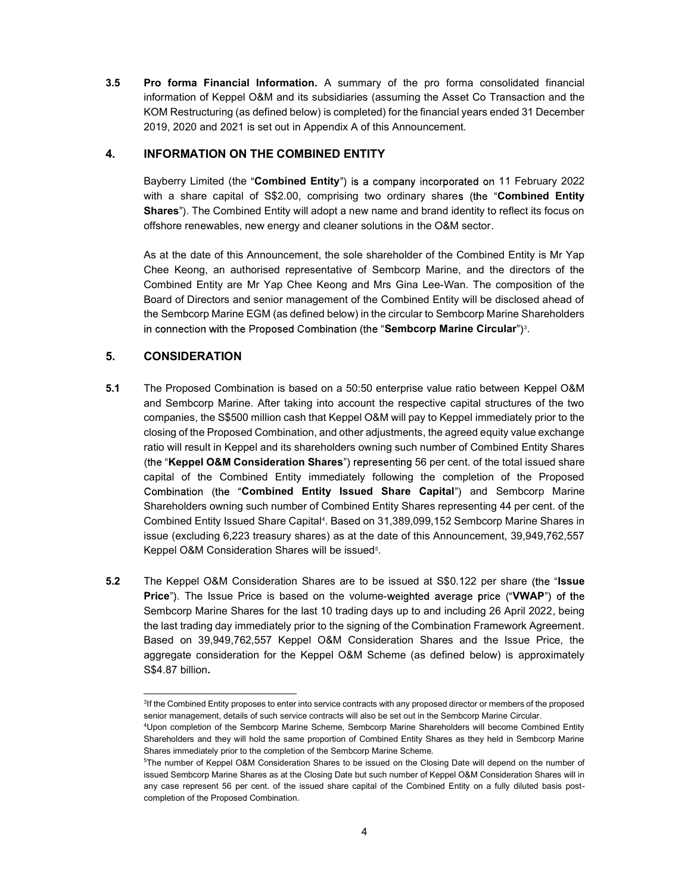3.5 Pro forma Financial Information. A summary of the pro forma consolidated financial information of Keppel O&M and its subsidiaries (assuming the Asset Co Transaction and the KOM Restructuring (as defined below) is completed) for the financial years ended 31 December 2019, 2020 and 2021 is set out in Appendix A of this Announcement.

## 4. INFORMATION ON THE COMBINED ENTITY

Bayberry Limited (the "Combined Entity") is a company incorporated on 11 February 2022 with a share capital of S\$2.00, comprising two ordinary shares (the "**Combined Entity** Shares"). The Combined Entity will adopt a new name and brand identity to reflect its focus on offshore renewables, new energy and cleaner solutions in the O&M sector.

As at the date of this Announcement, the sole shareholder of the Combined Entity is Mr Yap Chee Keong, an authorised representative of Sembcorp Marine, and the directors of the Combined Entity are Mr Yap Chee Keong and Mrs Gina Lee-Wan. The composition of the Board of Directors and senior management of the Combined Entity will be disclosed ahead of the Sembcorp Marine EGM (as defined below) in the circular to Sembcorp Marine Shareholders Sembcorp Marine Circular")<sup>3</sup>.

# 5. CONSIDERATION

- 5.1 The Proposed Combination is based on a 50:50 enterprise value ratio between Keppel O&M and Sembcorp Marine. After taking into account the respective capital structures of the two companies, the S\$500 million cash that Keppel O&M will pay to Keppel immediately prior to the closing of the Proposed Combination, and other adjustments, the agreed equity value exchange ratio will result in Keppel and its shareholders owning such number of Combined Entity Shares (the "Keppel O&M Consideration Shares") representing 56 per cent. of the total issued share capital of the Combined Entity immediately following the completion of the Proposed Combination (the "Combined Entity Issued Share Capital") and Sembcorp Marine Shareholders owning such number of Combined Entity Shares representing 44 per cent. of the Combined Entity Issued Share Capital<sup>4</sup>. Based on 31,389,099,152 Sembcorp Marine Shares in issue (excluding 6,223 treasury shares) as at the date of this Announcement, 39,949,762,557 Keppel O&M Consideration Shares will be issued<sup>5</sup>.
- 5.2 The Keppel O&M Consideration Shares are to be issued at S\$0.122 per share (the "Issue Price"). The Issue Price is based on the volume-weighted average price ("VWAP") of the Sembcorp Marine Shares for the last 10 trading days up to and including 26 April 2022, being the last trading day immediately prior to the signing of the Combination Framework Agreement. Based on 39,949,762,557 Keppel O&M Consideration Shares and the Issue Price, the aggregate consideration for the Keppel O&M Scheme (as defined below) is approximately S\$4.87 billion.

<sup>&</sup>lt;sup>3</sup>If the Combined Entity proposes to enter into service contracts with any proposed director or members of the proposed senior management, details of such service contracts will also be set out in the Sembcorp Marine Circular.

<sup>4</sup>Upon completion of the Sembcorp Marine Scheme, Sembcorp Marine Shareholders will become Combined Entity Shareholders and they will hold the same proportion of Combined Entity Shares as they held in Sembcorp Marine Shares immediately prior to the completion of the Sembcorp Marine Scheme.

<sup>5</sup>The number of Keppel O&M Consideration Shares to be issued on the Closing Date will depend on the number of issued Sembcorp Marine Shares as at the Closing Date but such number of Keppel O&M Consideration Shares will in any case represent 56 per cent. of the issued share capital of the Combined Entity on a fully diluted basis postcompletion of the Proposed Combination.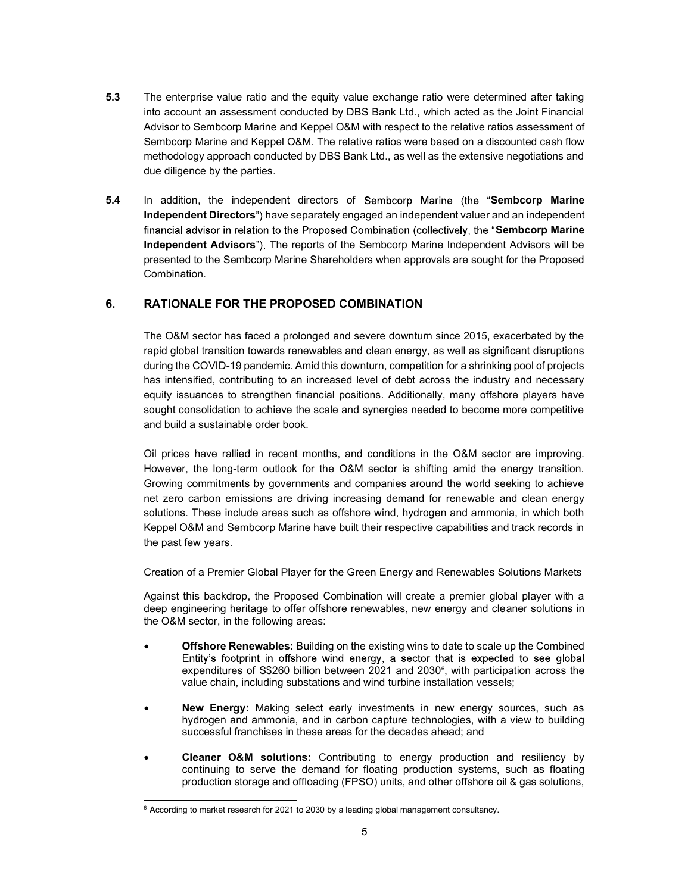- **5.3** The enterprise value ratio and the equity value exchange ratio were determined after taking into account an assessment conducted by DBS Bank Ltd., which acted as the Joint Financial Advisor to Sembcorp Marine and Keppel O&M with respect to the relative ratios assessment of Sembcorp Marine and Keppel O&M. The relative ratios were based on a discounted cash flow methodology approach conducted by DBS Bank Ltd., as well as the extensive negotiations and due diligence by the parties.
- 5.4 In addition, the independent directors of Sembcorp Marine (the "Sembcorp Marine Independent Directors") have separately engaged an independent valuer and an independent financial advisor in relation to the Proposed Combination (collectively, the "Sembcorp Marine" Independent Advisors"). The reports of the Sembcorp Marine Independent Advisors will be presented to the Sembcorp Marine Shareholders when approvals are sought for the Proposed Combination.

# 6. RATIONALE FOR THE PROPOSED COMBINATION

The O&M sector has faced a prolonged and severe downturn since 2015, exacerbated by the rapid global transition towards renewables and clean energy, as well as significant disruptions during the COVID-19 pandemic. Amid this downturn, competition for a shrinking pool of projects has intensified, contributing to an increased level of debt across the industry and necessary equity issuances to strengthen financial positions. Additionally, many offshore players have sought consolidation to achieve the scale and synergies needed to become more competitive and build a sustainable order book.

Oil prices have rallied in recent months, and conditions in the O&M sector are improving. However, the long-term outlook for the O&M sector is shifting amid the energy transition. Growing commitments by governments and companies around the world seeking to achieve net zero carbon emissions are driving increasing demand for renewable and clean energy solutions. These include areas such as offshore wind, hydrogen and ammonia, in which both Keppel O&M and Sembcorp Marine have built their respective capabilities and track records in the past few years.

#### Creation of a Premier Global Player for the Green Energy and Renewables Solutions Markets

Against this backdrop, the Proposed Combination will create a premier global player with a deep engineering heritage to offer offshore renewables, new energy and cleaner solutions in the O&M sector, in the following areas:

- Offshore Renewables: Building on the existing wins to date to scale up the Combined Entity's footprint in offshore wind energy, a sector that is expected to see global expenditures of S\$260 billion between 2021 and 2030 $\epsilon$ , with participation across the value chain, including substations and wind turbine installation vessels;
- New Energy: Making select early investments in new energy sources, such as hydrogen and ammonia, and in carbon capture technologies, with a view to building successful franchises in these areas for the decades ahead; and
- Cleaner O&M solutions: Contributing to energy production and resiliency by continuing to serve the demand for floating production systems, such as floating production storage and offloading (FPSO) units, and other offshore oil & gas solutions,

 $6$  According to market research for 2021 to 2030 by a leading global management consultancy.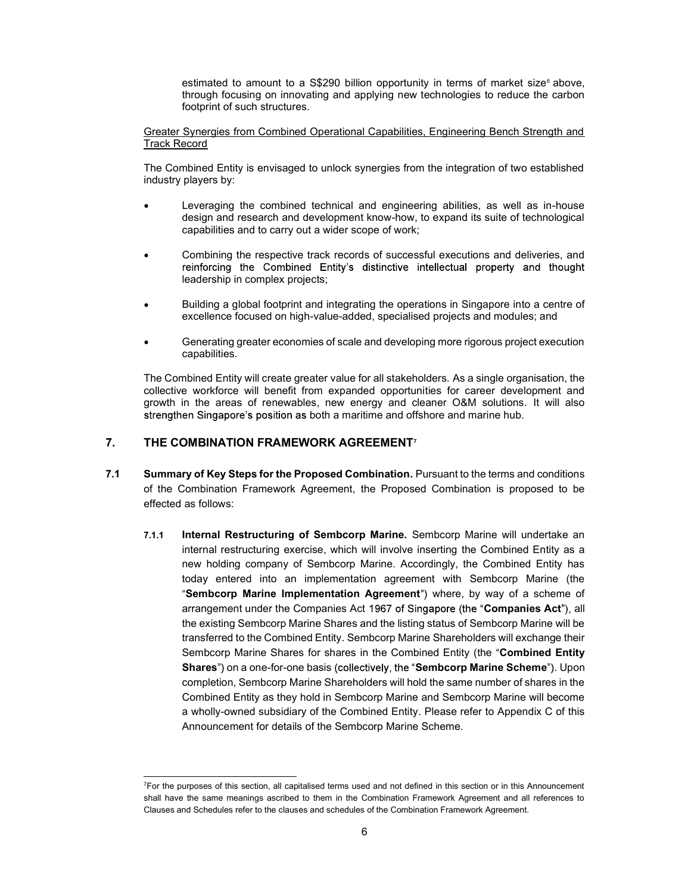estimated to amount to a  $\$290$  billion opportunity in terms of market size $\degree$  above, through focusing on innovating and applying new technologies to reduce the carbon footprint of such structures.

Greater Synergies from Combined Operational Capabilities, Engineering Bench Strength and Track Record

The Combined Entity is envisaged to unlock synergies from the integration of two established industry players by:

- Leveraging the combined technical and engineering abilities, as well as in-house design and research and development know-how, to expand its suite of technological capabilities and to carry out a wider scope of work;
- Combining the respective track records of successful executions and deliveries, and reinforcing the Combined Entity's distinctive intellectual property and thought leadership in complex projects;
- Building a global footprint and integrating the operations in Singapore into a centre of excellence focused on high-value-added, specialised projects and modules; and
- Generating greater economies of scale and developing more rigorous project execution capabilities.

The Combined Entity will create greater value for all stakeholders. As a single organisation, the collective workforce will benefit from expanded opportunities for career development and growth in the areas of renewables, new energy and cleaner O&M solutions. It will also strengthen Singapore's position as both a maritime and offshore and marine hub.

## 7. THE COMBINATION FRAMEWORK AGREEMENT<sup>7</sup>

- 7.1 Summary of Key Steps for the Proposed Combination. Pursuant to the terms and conditions of the Combination Framework Agreement, the Proposed Combination is proposed to be effected as follows:
	- 7.1.1 Internal Restructuring of Sembcorp Marine. Sembcorp Marine will undertake an internal restructuring exercise, which will involve inserting the Combined Entity as a new holding company of Sembcorp Marine. Accordingly, the Combined Entity has today entered into an implementation agreement with Sembcorp Marine (the "Sembcorp Marine Implementation Agreement") where, by way of a scheme of arrangement under the Companies Act 1967 of Singapore (the "Companies Act"), all the existing Sembcorp Marine Shares and the listing status of Sembcorp Marine will be transferred to the Combined Entity. Sembcorp Marine Shareholders will exchange their Sembcorp Marine Shares for shares in the Combined Entity (the "Combined Entity Shares") on a one-for-one basis (collectively, the "Sembcorp Marine Scheme"). Upon completion, Sembcorp Marine Shareholders will hold the same number of shares in the Combined Entity as they hold in Sembcorp Marine and Sembcorp Marine will become a wholly-owned subsidiary of the Combined Entity. Please refer to Appendix C of this Announcement for details of the Sembcorp Marine Scheme.

 $<sup>7</sup>$  For the purposes of this section, all capitalised terms used and not defined in this section or in this Announcement</sup> shall have the same meanings ascribed to them in the Combination Framework Agreement and all references to Clauses and Schedules refer to the clauses and schedules of the Combination Framework Agreement.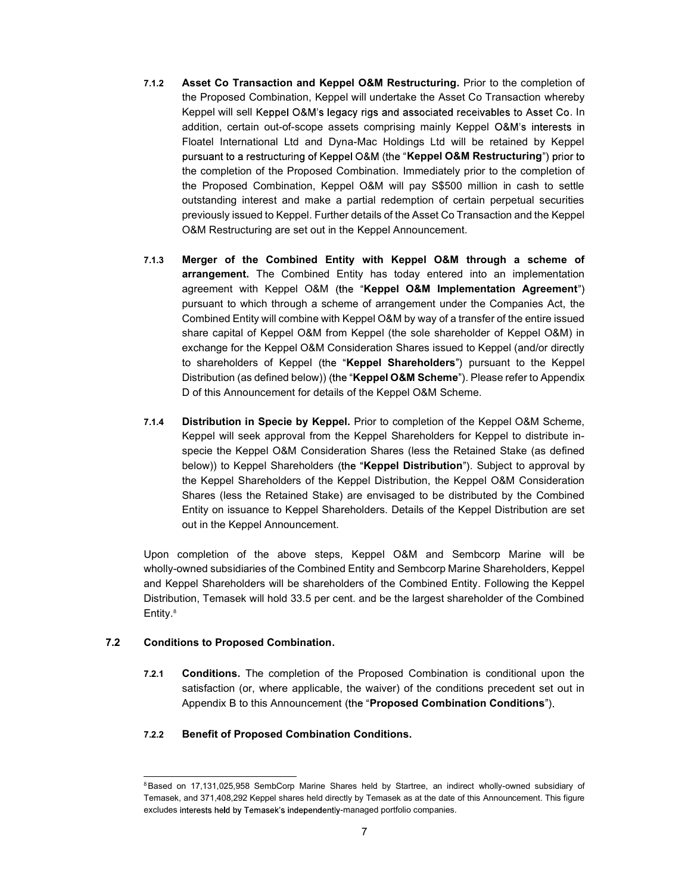- 7.1.2 Asset Co Transaction and Keppel O&M Restructuring. Prior to the completion of the Proposed Combination, Keppel will undertake the Asset Co Transaction whereby Keppel will sell Keppel O&M's legacy rigs and associated receivables to Asset Co. In addition, certain out-of-scope assets comprising mainly Keppel Floatel International Ltd and Dyna-Mac Holdings Ltd will be retained by Keppel pursuant to a restructuring of Keppel O&M (the "Keppel O&M Restructuring") prior to the completion of the Proposed Combination. Immediately prior to the completion of the Proposed Combination, Keppel O&M will pay S\$500 million in cash to settle outstanding interest and make a partial redemption of certain perpetual securities previously issued to Keppel. Further details of the Asset Co Transaction and the Keppel O&M Restructuring are set out in the Keppel Announcement.
- 7.1.3 Merger of the Combined Entity with Keppel O&M through a scheme of arrangement. The Combined Entity has today entered into an implementation agreement with Keppel O&M (the "Keppel O&M Implementation Agreement") pursuant to which through a scheme of arrangement under the Companies Act, the Combined Entity will combine with Keppel O&M by way of a transfer of the entire issued share capital of Keppel O&M from Keppel (the sole shareholder of Keppel O&M) in exchange for the Keppel O&M Consideration Shares issued to Keppel (and/or directly to shareholders of Keppel (the "Keppel Shareholders") pursuant to the Keppel Distribution (as defined below)) (the "**Keppel O&M Scheme**"). Please refer to Appendix D of this Announcement for details of the Keppel O&M Scheme.
- 7.1.4 Distribution in Specie by Keppel. Prior to completion of the Keppel O&M Scheme, Keppel will seek approval from the Keppel Shareholders for Keppel to distribute inspecie the Keppel O&M Consideration Shares (less the Retained Stake (as defined below)) to Keppel Shareholders (the "Keppel Distribution"). Subject to approval by the Keppel Shareholders of the Keppel Distribution, the Keppel O&M Consideration Shares (less the Retained Stake) are envisaged to be distributed by the Combined Entity on issuance to Keppel Shareholders. Details of the Keppel Distribution are set out in the Keppel Announcement.

Upon completion of the above steps, Keppel O&M and Sembcorp Marine will be wholly-owned subsidiaries of the Combined Entity and Sembcorp Marine Shareholders, Keppel and Keppel Shareholders will be shareholders of the Combined Entity. Following the Keppel Distribution, Temasek will hold 33.5 per cent. and be the largest shareholder of the Combined Entity.<sup>8</sup>

#### 7.2 Conditions to Proposed Combination.

7.2.1 Conditions. The completion of the Proposed Combination is conditional upon the satisfaction (or, where applicable, the waiver) of the conditions precedent set out in Appendix B to this Announcement (the "Proposed Combination Conditions").

#### 7.2.2 Benefit of Proposed Combination Conditions.

<sup>&</sup>lt;sup>8</sup>Based on 17,131,025,958 SembCorp Marine Shares held by Startree, an indirect wholly-owned subsidiary of Temasek, and 371,408,292 Keppel shares held directly by Temasek as at the date of this Announcement. This figure excludes interests held by Temasek's independently-managed portfolio companies.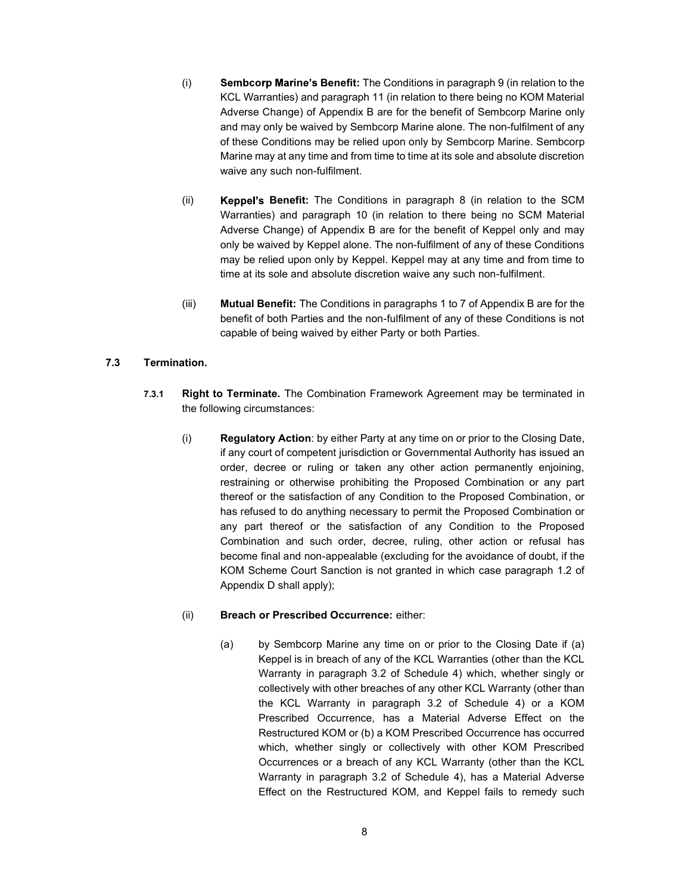- $(i)$  Sembcorp Marine's Benefit: The Conditions in paragraph 9 (in relation to the KCL Warranties) and paragraph 11 (in relation to there being no KOM Material Adverse Change) of Appendix B are for the benefit of Sembcorp Marine only and may only be waived by Sembcorp Marine alone. The non-fulfilment of any of these Conditions may be relied upon only by Sembcorp Marine. Sembcorp Marine may at any time and from time to time at its sole and absolute discretion waive any such non-fulfilment.
- $(i)$  **Keppel's Benefit:** The Conditions in paragraph 8 (in relation to the SCM Warranties) and paragraph 10 (in relation to there being no SCM Material Adverse Change) of Appendix B are for the benefit of Keppel only and may only be waived by Keppel alone. The non-fulfilment of any of these Conditions may be relied upon only by Keppel. Keppel may at any time and from time to time at its sole and absolute discretion waive any such non-fulfilment.
- (iii) Mutual Benefit: The Conditions in paragraphs 1 to 7 of Appendix B are for the benefit of both Parties and the non-fulfilment of any of these Conditions is not capable of being waived by either Party or both Parties.

## 7.3 Termination.

- 7.3.1 Right to Terminate. The Combination Framework Agreement may be terminated in the following circumstances:
	- (i) Regulatory Action: by either Party at any time on or prior to the Closing Date, if any court of competent jurisdiction or Governmental Authority has issued an order, decree or ruling or taken any other action permanently enjoining, restraining or otherwise prohibiting the Proposed Combination or any part thereof or the satisfaction of any Condition to the Proposed Combination, or has refused to do anything necessary to permit the Proposed Combination or any part thereof or the satisfaction of any Condition to the Proposed Combination and such order, decree, ruling, other action or refusal has become final and non-appealable (excluding for the avoidance of doubt, if the KOM Scheme Court Sanction is not granted in which case paragraph 1.2 of Appendix D shall apply);

## (ii) Breach or Prescribed Occurrence: either:

(a) by Sembcorp Marine any time on or prior to the Closing Date if (a) Keppel is in breach of any of the KCL Warranties (other than the KCL Warranty in paragraph 3.2 of Schedule 4) which, whether singly or collectively with other breaches of any other KCL Warranty (other than the KCL Warranty in paragraph 3.2 of Schedule 4) or a KOM Prescribed Occurrence, has a Material Adverse Effect on the Restructured KOM or (b) a KOM Prescribed Occurrence has occurred which, whether singly or collectively with other KOM Prescribed Occurrences or a breach of any KCL Warranty (other than the KCL Warranty in paragraph 3.2 of Schedule 4), has a Material Adverse Effect on the Restructured KOM, and Keppel fails to remedy such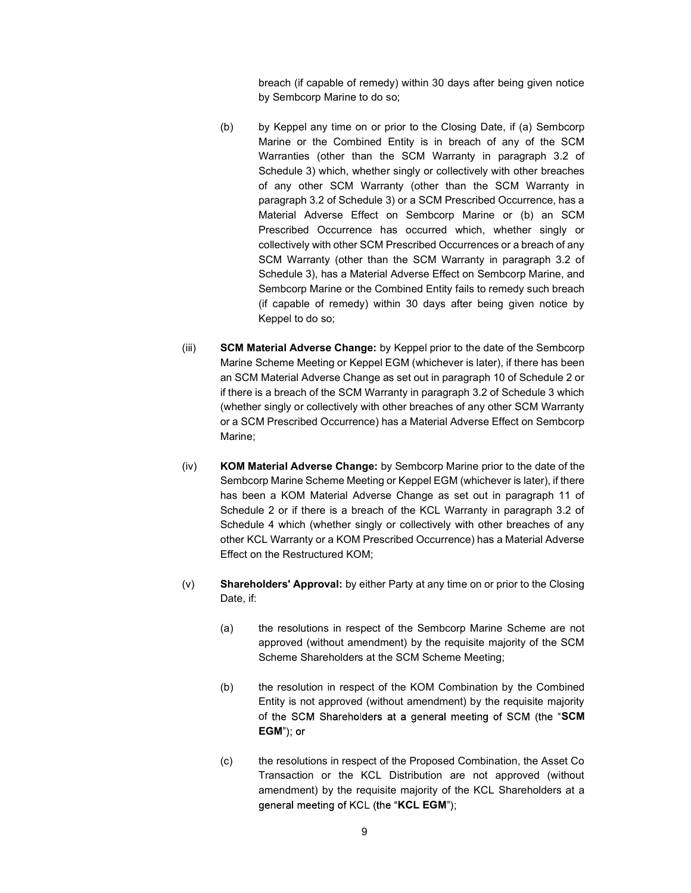breach (if capable of remedy) within 30 days after being given notice by Sembcorp Marine to do so;

- (b) by Keppel any time on or prior to the Closing Date, if (a) Sembcorp Marine or the Combined Entity is in breach of any of the SCM Warranties (other than the SCM Warranty in paragraph 3.2 of Schedule 3) which, whether singly or collectively with other breaches of any other SCM Warranty (other than the SCM Warranty in paragraph 3.2 of Schedule 3) or a SCM Prescribed Occurrence, has a Material Adverse Effect on Sembcorp Marine or (b) an SCM Prescribed Occurrence has occurred which, whether singly or collectively with other SCM Prescribed Occurrences or a breach of any SCM Warranty (other than the SCM Warranty in paragraph 3.2 of Schedule 3), has a Material Adverse Effect on Sembcorp Marine, and Sembcorp Marine or the Combined Entity fails to remedy such breach (if capable of remedy) within 30 days after being given notice by Keppel to do so;
- (iii) SCM Material Adverse Change: by Keppel prior to the date of the Sembcorp Marine Scheme Meeting or Keppel EGM (whichever is later), if there has been an SCM Material Adverse Change as set out in paragraph 10 of Schedule 2 or if there is a breach of the SCM Warranty in paragraph 3.2 of Schedule 3 which (whether singly or collectively with other breaches of any other SCM Warranty or a SCM Prescribed Occurrence) has a Material Adverse Effect on Sembcorp Marine;
- (iv) KOM Material Adverse Change: by Sembcorp Marine prior to the date of the Sembcorp Marine Scheme Meeting or Keppel EGM (whichever is later), if there has been a KOM Material Adverse Change as set out in paragraph 11 of Schedule 2 or if there is a breach of the KCL Warranty in paragraph 3.2 of Schedule 4 which (whether singly or collectively with other breaches of any other KCL Warranty or a KOM Prescribed Occurrence) has a Material Adverse Effect on the Restructured KOM;
- (v) Shareholders' Approval: by either Party at any time on or prior to the Closing Date, if:
	- (a) the resolutions in respect of the Sembcorp Marine Scheme are not approved (without amendment) by the requisite majority of the SCM Scheme Shareholders at the SCM Scheme Meeting;
	- (b) the resolution in respect of the KOM Combination by the Combined Entity is not approved (without amendment) by the requisite majority of the SCM Shareholders at a general meeting of SCM (the "SCM EGM"); or
	- (c) the resolutions in respect of the Proposed Combination, the Asset Co Transaction or the KCL Distribution are not approved (without amendment) by the requisite majority of the KCL Shareholders at a general meeting of KCL (the "KCL EGM");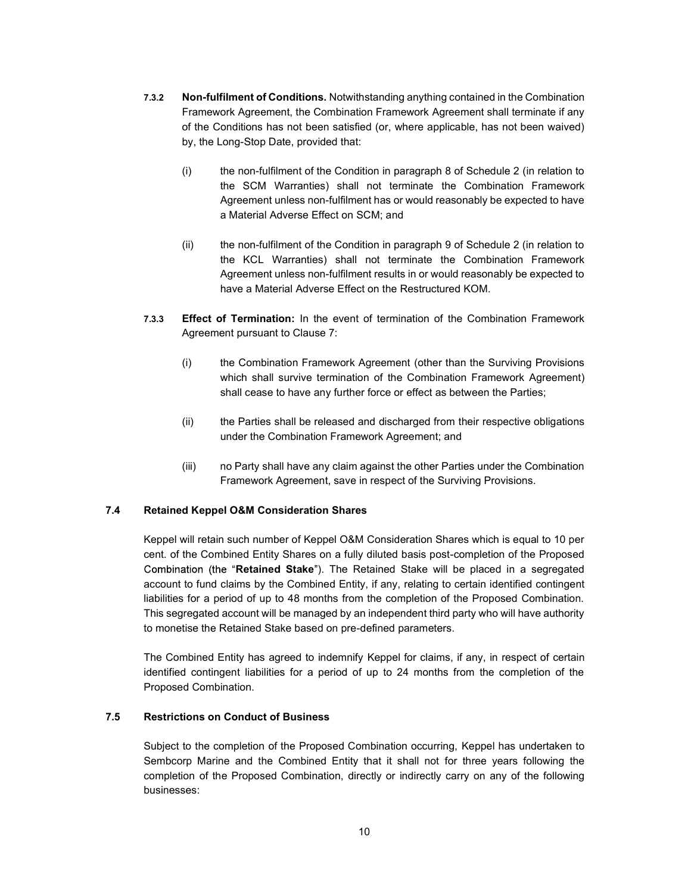- 7.3.2 Non-fulfilment of Conditions. Notwithstanding anything contained in the Combination Framework Agreement, the Combination Framework Agreement shall terminate if any of the Conditions has not been satisfied (or, where applicable, has not been waived) by, the Long-Stop Date, provided that:
	- (i) the non-fulfilment of the Condition in paragraph 8 of Schedule 2 (in relation to the SCM Warranties) shall not terminate the Combination Framework Agreement unless non-fulfilment has or would reasonably be expected to have a Material Adverse Effect on SCM; and
	- (ii) the non-fulfilment of the Condition in paragraph 9 of Schedule 2 (in relation to the KCL Warranties) shall not terminate the Combination Framework Agreement unless non-fulfilment results in or would reasonably be expected to have a Material Adverse Effect on the Restructured KOM.
- 7.3.3 Effect of Termination: In the event of termination of the Combination Framework Agreement pursuant to Clause 7:
	- (i) the Combination Framework Agreement (other than the Surviving Provisions which shall survive termination of the Combination Framework Agreement) shall cease to have any further force or effect as between the Parties;
	- (ii) the Parties shall be released and discharged from their respective obligations under the Combination Framework Agreement; and
	- (iii) no Party shall have any claim against the other Parties under the Combination Framework Agreement, save in respect of the Surviving Provisions.

#### 7.4 Retained Keppel O&M Consideration Shares

Keppel will retain such number of Keppel O&M Consideration Shares which is equal to 10 per cent. of the Combined Entity Shares on a fully diluted basis post-completion of the Proposed Combination (the "Retained Stake"). The Retained Stake will be placed in a segregated account to fund claims by the Combined Entity, if any, relating to certain identified contingent liabilities for a period of up to 48 months from the completion of the Proposed Combination. This segregated account will be managed by an independent third party who will have authority to monetise the Retained Stake based on pre-defined parameters.

The Combined Entity has agreed to indemnify Keppel for claims, if any, in respect of certain identified contingent liabilities for a period of up to 24 months from the completion of the Proposed Combination.

#### 7.5 Restrictions on Conduct of Business

Subject to the completion of the Proposed Combination occurring, Keppel has undertaken to Sembcorp Marine and the Combined Entity that it shall not for three years following the completion of the Proposed Combination, directly or indirectly carry on any of the following businesses: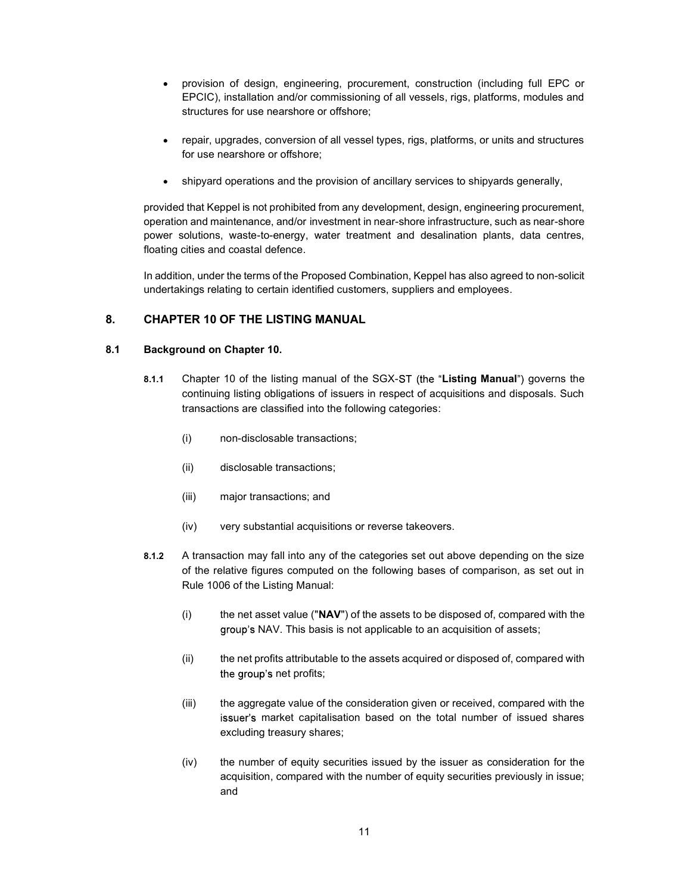- provision of design, engineering, procurement, construction (including full EPC or EPCIC), installation and/or commissioning of all vessels, rigs, platforms, modules and structures for use nearshore or offshore;
- repair, upgrades, conversion of all vessel types, rigs, platforms, or units and structures for use nearshore or offshore;
- shipyard operations and the provision of ancillary services to shipyards generally,

provided that Keppel is not prohibited from any development, design, engineering procurement, operation and maintenance, and/or investment in near-shore infrastructure, such as near-shore power solutions, waste-to-energy, water treatment and desalination plants, data centres, floating cities and coastal defence.

In addition, under the terms of the Proposed Combination, Keppel has also agreed to non-solicit undertakings relating to certain identified customers, suppliers and employees.

## 8. CHAPTER 10 OF THE LISTING MANUAL

#### 8.1 Background on Chapter 10.

- 8.1.1 Chapter 10 of the listing manual of the SGX-ST (the "Listing Manual") governs the continuing listing obligations of issuers in respect of acquisitions and disposals. Such transactions are classified into the following categories:
	- (i) non-disclosable transactions;
	- (ii) disclosable transactions;
	- (iii) major transactions; and
	- (iv) very substantial acquisitions or reverse takeovers.
- 8.1.2 A transaction may fall into any of the categories set out above depending on the size of the relative figures computed on the following bases of comparison, as set out in Rule 1006 of the Listing Manual:
	- $(i)$  the net asset value (" $NAV$ ") of the assets to be disposed of, compared with the group's NAV. This basis is not applicable to an acquisition of assets;
	- (ii) the net profits attributable to the assets acquired or disposed of, compared with the group's net profits;
	- (iii) the aggregate value of the consideration given or received, compared with the issuer's market capitalisation based on the total number of issued shares excluding treasury shares;
	- (iv) the number of equity securities issued by the issuer as consideration for the acquisition, compared with the number of equity securities previously in issue; and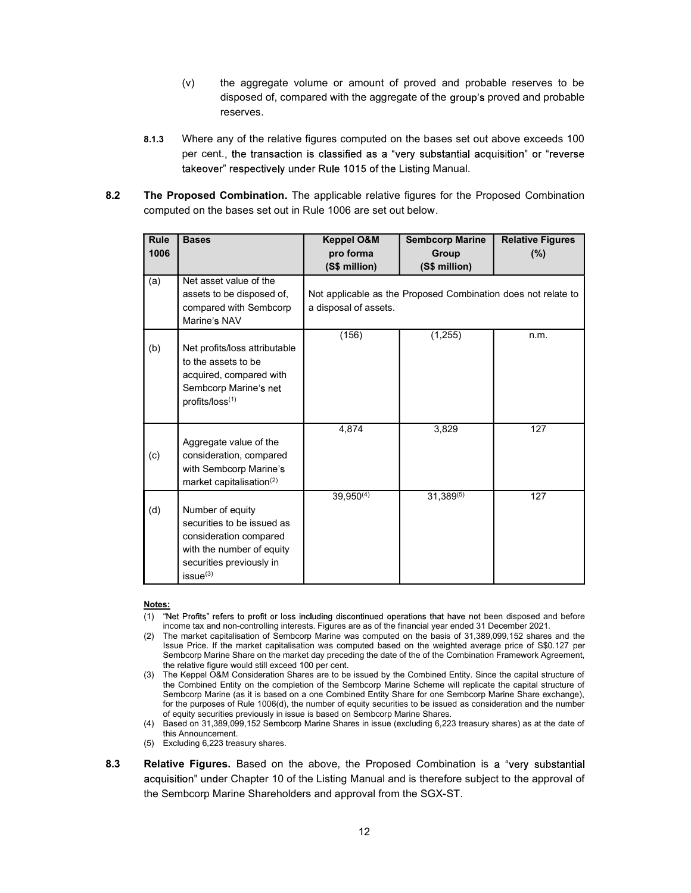- (v) the aggregate volume or amount of proved and probable reserves to be disposed of, compared with the aggregate of the group's proved and probable reserves.
- 8.1.3 Where any of the relative figures computed on the bases set out above exceeds 100 per cent., the transaction is classified as a "very substantial acquisition" or "reverse takeover" respectively under Rule 1015 of the Listing Manual.
- 8.2 The Proposed Combination. The applicable relative figures for the Proposed Combination computed on the bases set out in Rule 1006 are set out below.

| <b>Rule</b> | <b>Bases</b>                         | Keppel O&M            | <b>Sembcorp Marine</b>                                        | <b>Relative Figures</b> |
|-------------|--------------------------------------|-----------------------|---------------------------------------------------------------|-------------------------|
| 1006        |                                      | pro forma             | Group                                                         | $(\%)$                  |
|             |                                      | (S\$ million)         | (S\$ million)                                                 |                         |
| (a)         | Net asset value of the               |                       |                                                               |                         |
|             | assets to be disposed of,            |                       | Not applicable as the Proposed Combination does not relate to |                         |
|             | compared with Sembcorp               | a disposal of assets. |                                                               |                         |
|             | Marine's NAV                         |                       |                                                               |                         |
|             |                                      | (156)                 | (1, 255)                                                      | n.m.                    |
| (b)         | Net profits/loss attributable        |                       |                                                               |                         |
|             | to the assets to be                  |                       |                                                               |                         |
|             | acquired, compared with              |                       |                                                               |                         |
|             | Sembcorp Marine's net                |                       |                                                               |                         |
|             | profits/loss(1)                      |                       |                                                               |                         |
|             |                                      |                       |                                                               |                         |
|             |                                      | 4.874                 | 3,829                                                         | 127                     |
|             | Aggregate value of the               |                       |                                                               |                         |
| (c)         | consideration, compared              |                       |                                                               |                         |
|             | with Sembcorp Marine's               |                       |                                                               |                         |
|             | market capitalisation <sup>(2)</sup> |                       |                                                               |                         |
|             |                                      | $39,950^{(4)}$        | $31,389^{(5)}$                                                | 127                     |
| (d)         | Number of equity                     |                       |                                                               |                         |
|             | securities to be issued as           |                       |                                                               |                         |
|             | consideration compared               |                       |                                                               |                         |
|             | with the number of equity            |                       |                                                               |                         |
|             | securities previously in             |                       |                                                               |                         |
|             | $issue^{(3)}$                        |                       |                                                               |                         |

#### Notes:

- (1) "Net Profits" refers to profit or loss including discontinued operations that have not been disposed and before income tax and non-controlling interests. Figures are as of the financial year ended 31 December 2021.
- (2) The market capitalisation of Sembcorp Marine was computed on the basis of 31,389,099,152 shares and the Issue Price. If the market capitalisation was computed based on the weighted average price of S\$0.127 per Sembcorp Marine Share on the market day preceding the date of the of the Combination Framework Agreement, the relative figure would still exceed 100 per cent.
- (3) The Keppel O&M Consideration Shares are to be issued by the Combined Entity. Since the capital structure of the Combined Entity on the completion of the Sembcorp Marine Scheme will replicate the capital structure of Sembcorp Marine (as it is based on a one Combined Entity Share for one Sembcorp Marine Share exchange), for the purposes of Rule 1006(d), the number of equity securities to be issued as consideration and the number of equity securities previously in issue is based on Sembcorp Marine Shares.
- (4) Based on 31,389,099,152 Sembcorp Marine Shares in issue (excluding 6,223 treasury shares) as at the date of this Announcement.
- (5) Excluding 6,223 treasury shares.
- 8.3 Relative Figures. Based on the above, the Proposed Combination is a "very substantial acquisition" under Chapter 10 of the Listing Manual and is therefore subject to the approval of the Sembcorp Marine Shareholders and approval from the SGX-ST.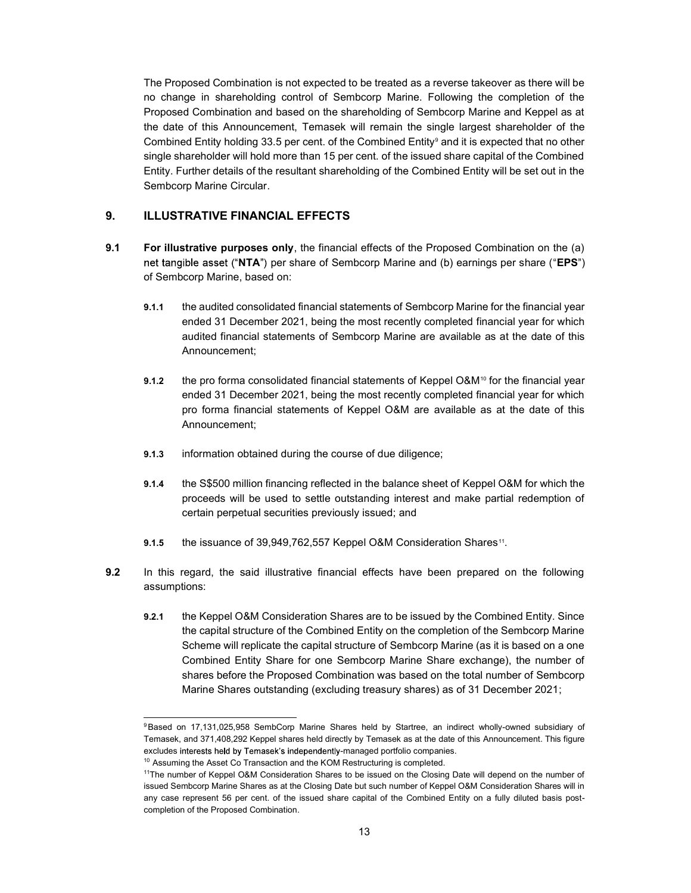The Proposed Combination is not expected to be treated as a reverse takeover as there will be no change in shareholding control of Sembcorp Marine. Following the completion of the Proposed Combination and based on the shareholding of Sembcorp Marine and Keppel as at the date of this Announcement, Temasek will remain the single largest shareholder of the Combined Entity holding 33.5 per cent. of the Combined Entity<sup>9</sup> and it is expected that no other single shareholder will hold more than 15 per cent. of the issued share capital of the Combined Entity. Further details of the resultant shareholding of the Combined Entity will be set out in the Sembcorp Marine Circular.

#### 9. ILLUSTRATIVE FINANCIAL EFFECTS

- 9.1 For illustrative purposes only, the financial effects of the Proposed Combination on the (a) net tangible asset ("NTA") per share of Sembcorp Marine and (b) earnings per share ("EPS") of Sembcorp Marine, based on:
	- 9.1.1 the audited consolidated financial statements of Sembcorp Marine for the financial year ended 31 December 2021, being the most recently completed financial year for which audited financial statements of Sembcorp Marine are available as at the date of this Announcement;
	- 9.1.2 the pro forma consolidated financial statements of Keppel O&M<sup>10</sup> for the financial year ended 31 December 2021, being the most recently completed financial year for which pro forma financial statements of Keppel O&M are available as at the date of this Announcement;
	- 9.1.3 information obtained during the course of due diligence;
	- 9.1.4 the S\$500 million financing reflected in the balance sheet of Keppel O&M for which the proceeds will be used to settle outstanding interest and make partial redemption of certain perpetual securities previously issued; and
	- 9.1.5 the issuance of 39,949,762,557 Keppel O&M Consideration Shares<sup>11</sup>.
- **9.2** In this regard, the said illustrative financial effects have been prepared on the following assumptions:
	- 9.2.1 the Keppel O&M Consideration Shares are to be issued by the Combined Entity. Since the capital structure of the Combined Entity on the completion of the Sembcorp Marine Scheme will replicate the capital structure of Sembcorp Marine (as it is based on a one Combined Entity Share for one Sembcorp Marine Share exchange), the number of shares before the Proposed Combination was based on the total number of Sembcorp Marine Shares outstanding (excluding treasury shares) as of 31 December 2021;

<sup>9</sup>Based on 17,131,025,958 SembCorp Marine Shares held by Startree, an indirect wholly-owned subsidiary of Temasek, and 371,408,292 Keppel shares held directly by Temasek as at the date of this Announcement. This figure excludes interests held by Temasek's independently-managed portfolio companies.

<sup>&</sup>lt;sup>10</sup> Assuming the Asset Co Transaction and the KOM Restructuring is completed.

<sup>11</sup>The number of Keppel O&M Consideration Shares to be issued on the Closing Date will depend on the number of issued Sembcorp Marine Shares as at the Closing Date but such number of Keppel O&M Consideration Shares will in any case represent 56 per cent. of the issued share capital of the Combined Entity on a fully diluted basis postcompletion of the Proposed Combination.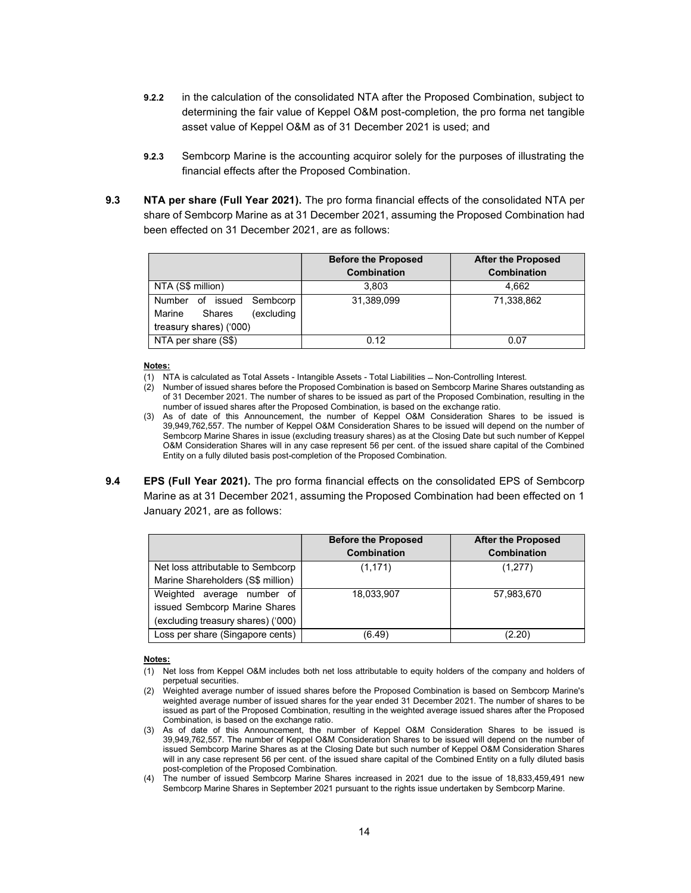- 9.2.2 in the calculation of the consolidated NTA after the Proposed Combination, subject to determining the fair value of Keppel O&M post-completion, the pro forma net tangible asset value of Keppel O&M as of 31 December 2021 is used; and
- 9.2.3 Sembcorp Marine is the accounting acquiror solely for the purposes of illustrating the financial effects after the Proposed Combination.
- 9.3 NTA per share (Full Year 2021). The pro forma financial effects of the consolidated NTA per share of Sembcorp Marine as at 31 December 2021, assuming the Proposed Combination had been effected on 31 December 2021, are as follows:

|                                                                                        | <b>Before the Proposed</b><br><b>Combination</b> | <b>After the Proposed</b><br><b>Combination</b> |
|----------------------------------------------------------------------------------------|--------------------------------------------------|-------------------------------------------------|
| NTA (S\$ million)                                                                      | 3.803                                            | 4.662                                           |
| Number of issued Sembcorp<br>(excluding<br>Marine<br>Shares<br>treasury shares) ('000) | 31,389,099                                       | 71,338,862                                      |
| NTA per share (S\$)                                                                    | 0.12                                             | 0.07                                            |

#### Notes:

- (1) NTA is calculated as Total Assets Intangible Assets Total Liabilities Non-Controlling Interest.
- (2) Number of issued shares before the Proposed Combination is based on Sembcorp Marine Shares outstanding as of 31 December 2021. The number of shares to be issued as part of the Proposed Combination, resulting in the number of issued shares after the Proposed Combination, is based on the exchange ratio.
- (3) As of date of this Announcement, the number of Keppel O&M Consideration Shares to be issued is 39,949,762,557. The number of Keppel O&M Consideration Shares to be issued will depend on the number of Sembcorp Marine Shares in issue (excluding treasury shares) as at the Closing Date but such number of Keppel O&M Consideration Shares will in any case represent 56 per cent. of the issued share capital of the Combined Entity on a fully diluted basis post-completion of the Proposed Combination.
- 9.4 **EPS (Full Year 2021).** The pro forma financial effects on the consolidated EPS of Sembcorp Marine as at 31 December 2021, assuming the Proposed Combination had been effected on 1 January 2021, are as follows:

|                                    | <b>Before the Proposed</b> | <b>After the Proposed</b> |
|------------------------------------|----------------------------|---------------------------|
|                                    | <b>Combination</b>         | <b>Combination</b>        |
| Net loss attributable to Sembcorp  | (1, 171)                   | (1,277)                   |
| Marine Shareholders (S\$ million)  |                            |                           |
| Weighted average number of         | 18,033,907                 | 57,983,670                |
| issued Sembcorp Marine Shares      |                            |                           |
| (excluding treasury shares) ('000) |                            |                           |
| Loss per share (Singapore cents)   | (6.49)                     | (2.20)                    |

#### Notes:

- (1) Net loss from Keppel O&M includes both net loss attributable to equity holders of the company and holders of perpetual securities.
- (2) Weighted average number of issued shares before the Proposed Combination is based on Sembcorp Marine's weighted average number of issued shares for the year ended 31 December 2021. The number of shares to be issued as part of the Proposed Combination, resulting in the weighted average issued shares after the Proposed Combination, is based on the exchange ratio.
- (3) As of date of this Announcement, the number of Keppel O&M Consideration Shares to be issued is 39,949,762,557. The number of Keppel O&M Consideration Shares to be issued will depend on the number of issued Sembcorp Marine Shares as at the Closing Date but such number of Keppel O&M Consideration Shares will in any case represent 56 per cent. of the issued share capital of the Combined Entity on a fully diluted basis post-completion of the Proposed Combination.
- (4) The number of issued Sembcorp Marine Shares increased in 2021 due to the issue of 18,833,459,491 new Sembcorp Marine Shares in September 2021 pursuant to the rights issue undertaken by Sembcorp Marine.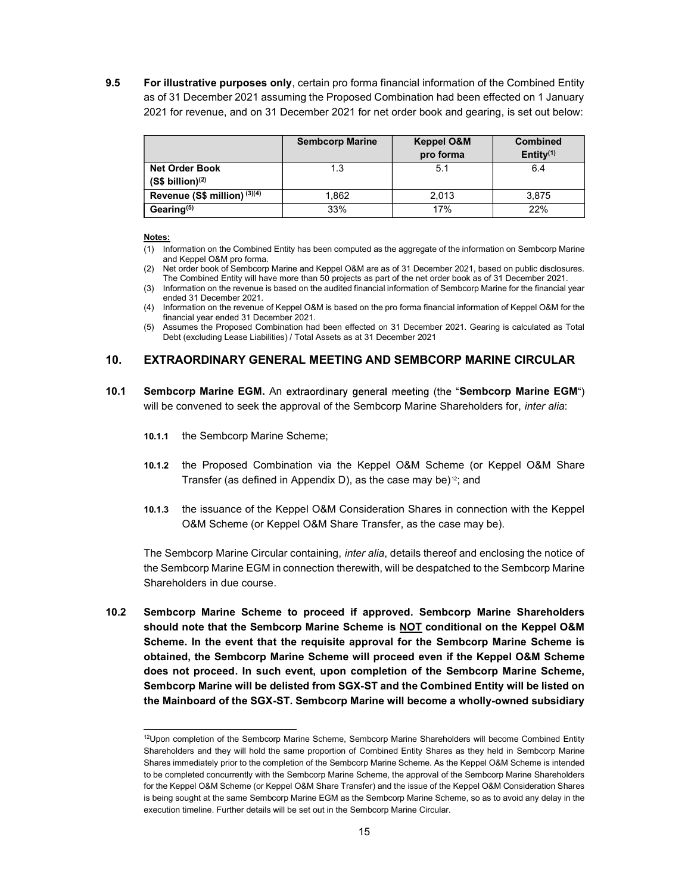9.5 For illustrative purposes only, certain pro forma financial information of the Combined Entity as of 31 December 2021 assuming the Proposed Combination had been effected on 1 January 2021 for revenue, and on 31 December 2021 for net order book and gearing, is set out below:

|                                                       | <b>Sembcorp Marine</b> | <b>Keppel O&amp;M</b><br>pro forma | <b>Combined</b><br>Entity $(1)$ |
|-------------------------------------------------------|------------------------|------------------------------------|---------------------------------|
| <b>Net Order Book</b><br>(S\$ billion) <sup>(2)</sup> | 1.3                    | 5.1                                | 6.4                             |
| Revenue (S\$ million) (3)(4)                          | 1.862                  | 2.013                              | 3,875                           |
| Gearing <sup>(5)</sup>                                | 33%                    | 17%                                | 22%                             |

#### Notes:

- (1) Information on the Combined Entity has been computed as the aggregate of the information on Sembcorp Marine and Keppel O&M pro forma.
- (2) Net order book of Sembcorp Marine and Keppel O&M are as of 31 December 2021, based on public disclosures. The Combined Entity will have more than 50 projects as part of the net order book as of 31 December 2021.
- (3) Information on the revenue is based on the audited financial information of Sembcorp Marine for the financial year ended 31 December 2021.
- (4) Information on the revenue of Keppel O&M is based on the pro forma financial information of Keppel O&M for the financial year ended 31 December 2021.
- (5) Assumes the Proposed Combination had been effected on 31 December 2021. Gearing is calculated as Total Debt (excluding Lease Liabilities) / Total Assets as at 31 December 2021

## 10. EXTRAORDINARY GENERAL MEETING AND SEMBCORP MARINE CIRCULAR

- 10.1 Sembcorp Marine EGM. An extraordinary general meeting (the "Sembcorp Marine EGM") will be convened to seek the approval of the Sembcorp Marine Shareholders for, inter alia:
	- 10.1.1 the Sembcorp Marine Scheme;
	- 10.1.2 the Proposed Combination via the Keppel O&M Scheme (or Keppel O&M Share Transfer (as defined in Appendix D), as the case may be) $12$ ; and
	- 10.1.3 the issuance of the Keppel O&M Consideration Shares in connection with the Keppel O&M Scheme (or Keppel O&M Share Transfer, as the case may be).

The Sembcorp Marine Circular containing, *inter alia*, details thereof and enclosing the notice of the Sembcorp Marine EGM in connection therewith, will be despatched to the Sembcorp Marine Shareholders in due course.

10.2 Sembcorp Marine Scheme to proceed if approved. Sembcorp Marine Shareholders should note that the Sembcorp Marine Scheme is NOT conditional on the Keppel O&M Scheme. In the event that the requisite approval for the Sembcorp Marine Scheme is obtained, the Sembcorp Marine Scheme will proceed even if the Keppel O&M Scheme does not proceed. In such event, upon completion of the Sembcorp Marine Scheme, Sembcorp Marine will be delisted from SGX-ST and the Combined Entity will be listed on the Mainboard of the SGX-ST. Sembcorp Marine will become a wholly-owned subsidiary

<sup>&</sup>lt;sup>12</sup>Upon completion of the Sembcorp Marine Scheme, Sembcorp Marine Shareholders will become Combined Entity Shareholders and they will hold the same proportion of Combined Entity Shares as they held in Sembcorp Marine Shares immediately prior to the completion of the Sembcorp Marine Scheme. As the Keppel O&M Scheme is intended to be completed concurrently with the Sembcorp Marine Scheme, the approval of the Sembcorp Marine Shareholders for the Keppel O&M Scheme (or Keppel O&M Share Transfer) and the issue of the Keppel O&M Consideration Shares is being sought at the same Sembcorp Marine EGM as the Sembcorp Marine Scheme, so as to avoid any delay in the execution timeline. Further details will be set out in the Sembcorp Marine Circular.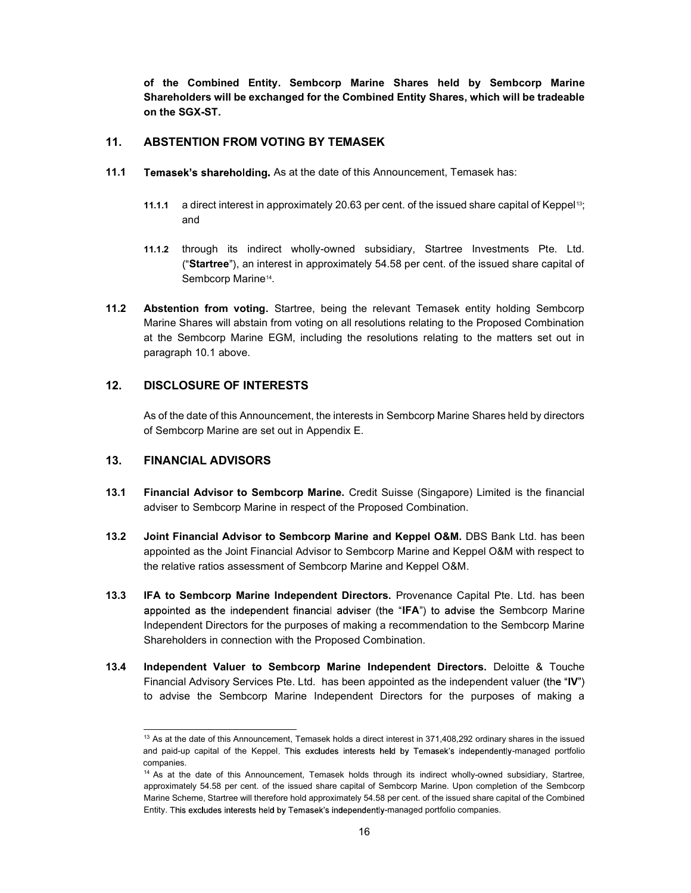of the Combined Entity. Sembcorp Marine Shares held by Sembcorp Marine Shareholders will be exchanged for the Combined Entity Shares, which will be tradeable on the SGX-ST.

## 11. ABSTENTION FROM VOTING BY TEMASEK

- 11.1 Temasek's shareholding. As at the date of this Announcement, Temasek has:
	- 11.1.1 a direct interest in approximately 20.63 per cent. of the issued share capital of Keppel<sup>13</sup>; and
	- 11.1.2 through its indirect wholly-owned subsidiary, Startree Investments Pte. Ltd. ("Startree"), an interest in approximately  $54.58$  per cent. of the issued share capital of Sembcorp Marine<sup>14</sup>.
- 11.2 Abstention from voting. Startree, being the relevant Temasek entity holding Sembcorp Marine Shares will abstain from voting on all resolutions relating to the Proposed Combination at the Sembcorp Marine EGM, including the resolutions relating to the matters set out in paragraph 10.1 above.

## 12. DISCLOSURE OF INTERESTS

As of the date of this Announcement, the interests in Sembcorp Marine Shares held by directors of Sembcorp Marine are set out in Appendix E.

#### 13. FINANCIAL ADVISORS

- 13.1 Financial Advisor to Sembcorp Marine. Credit Suisse (Singapore) Limited is the financial adviser to Sembcorp Marine in respect of the Proposed Combination.
- 13.2 Joint Financial Advisor to Sembcorp Marine and Keppel O&M. DBS Bank Ltd. has been appointed as the Joint Financial Advisor to Sembcorp Marine and Keppel O&M with respect to the relative ratios assessment of Sembcorp Marine and Keppel O&M.
- 13.3 IFA to Sembcorp Marine Independent Directors. Provenance Capital Pte. Ltd. has been appointed as the independent financial adviser (the "IFA") to advise the Sembcorp Marine Independent Directors for the purposes of making a recommendation to the Sembcorp Marine Shareholders in connection with the Proposed Combination.
- 13.4 Independent Valuer to Sembcorp Marine Independent Directors. Deloitte & Touche Financial Advisory Services Pte. Ltd. has been appointed as the independent valuer (the  $\textbf{fiv}$ ") to advise the Sembcorp Marine Independent Directors for the purposes of making a

<sup>&</sup>lt;sup>13</sup> As at the date of this Announcement, Temasek holds a direct interest in 371,408,292 ordinary shares in the issued and paid-up capital of the Keppel. This excludes interests held by Temasek's independently-managed portfolio companies.

<sup>14</sup> As at the date of this Announcement, Temasek holds through its indirect wholly-owned subsidiary, Startree, approximately 54.58 per cent. of the issued share capital of Sembcorp Marine. Upon completion of the Sembcorp Marine Scheme, Startree will therefore hold approximately 54.58 per cent. of the issued share capital of the Combined Entity. This excludes interests held by Temasek's independently-managed portfolio companies.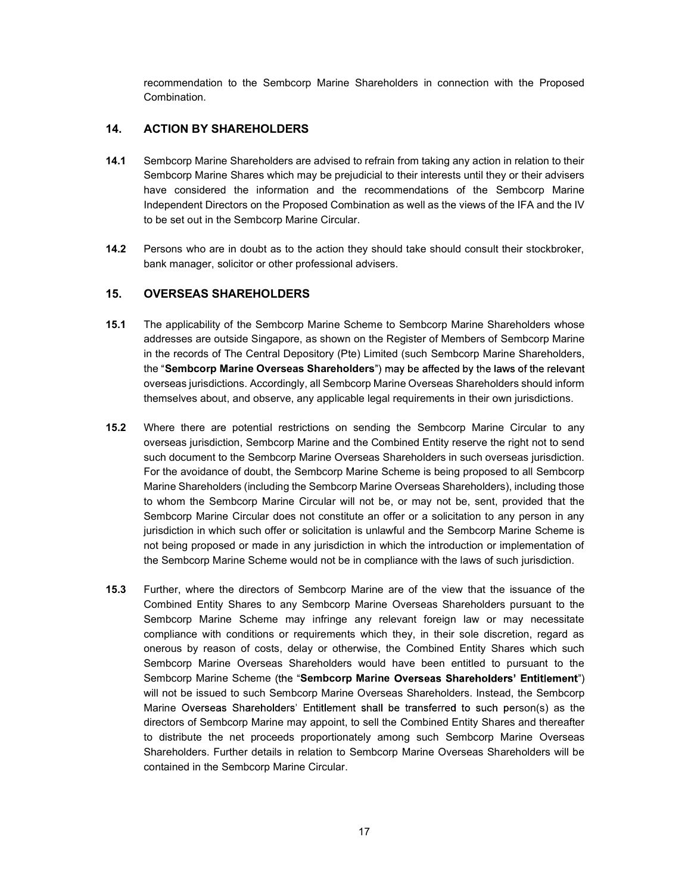recommendation to the Sembcorp Marine Shareholders in connection with the Proposed Combination.

## 14. ACTION BY SHAREHOLDERS

- 14.1 Sembcorp Marine Shareholders are advised to refrain from taking any action in relation to their Sembcorp Marine Shares which may be prejudicial to their interests until they or their advisers have considered the information and the recommendations of the Sembcorp Marine Independent Directors on the Proposed Combination as well as the views of the IFA and the IV to be set out in the Sembcorp Marine Circular.
- 14.2 Persons who are in doubt as to the action they should take should consult their stockbroker, bank manager, solicitor or other professional advisers.

## 15. OVERSEAS SHAREHOLDERS

- 15.1 The applicability of the Sembcorp Marine Scheme to Sembcorp Marine Shareholders whose addresses are outside Singapore, as shown on the Register of Members of Sembcorp Marine in the records of The Central Depository (Pte) Limited (such Sembcorp Marine Shareholders, the "Sembcorp Marine Overseas Shareholders") may be affected by the laws of the relevant overseas jurisdictions. Accordingly, all Sembcorp Marine Overseas Shareholders should inform themselves about, and observe, any applicable legal requirements in their own jurisdictions.
- 15.2 Where there are potential restrictions on sending the Sembcorp Marine Circular to any overseas jurisdiction, Sembcorp Marine and the Combined Entity reserve the right not to send such document to the Sembcorp Marine Overseas Shareholders in such overseas jurisdiction. For the avoidance of doubt, the Sembcorp Marine Scheme is being proposed to all Sembcorp Marine Shareholders (including the Sembcorp Marine Overseas Shareholders), including those to whom the Sembcorp Marine Circular will not be, or may not be, sent, provided that the Sembcorp Marine Circular does not constitute an offer or a solicitation to any person in any jurisdiction in which such offer or solicitation is unlawful and the Sembcorp Marine Scheme is not being proposed or made in any jurisdiction in which the introduction or implementation of the Sembcorp Marine Scheme would not be in compliance with the laws of such jurisdiction.
- 15.3 Further, where the directors of Sembcorp Marine are of the view that the issuance of the Combined Entity Shares to any Sembcorp Marine Overseas Shareholders pursuant to the Sembcorp Marine Scheme may infringe any relevant foreign law or may necessitate compliance with conditions or requirements which they, in their sole discretion, regard as onerous by reason of costs, delay or otherwise, the Combined Entity Shares which such Sembcorp Marine Overseas Shareholders would have been entitled to pursuant to the Sembcorp Marine Scheme (the "Sembcorp Marine Overseas Shareholders' Entitlement") will not be issued to such Sembcorp Marine Overseas Shareholders. Instead, the Sembcorp Marine Overseas Shareholders' Entitlement shall be transferred to such person(s) as the directors of Sembcorp Marine may appoint, to sell the Combined Entity Shares and thereafter to distribute the net proceeds proportionately among such Sembcorp Marine Overseas Shareholders. Further details in relation to Sembcorp Marine Overseas Shareholders will be contained in the Sembcorp Marine Circular.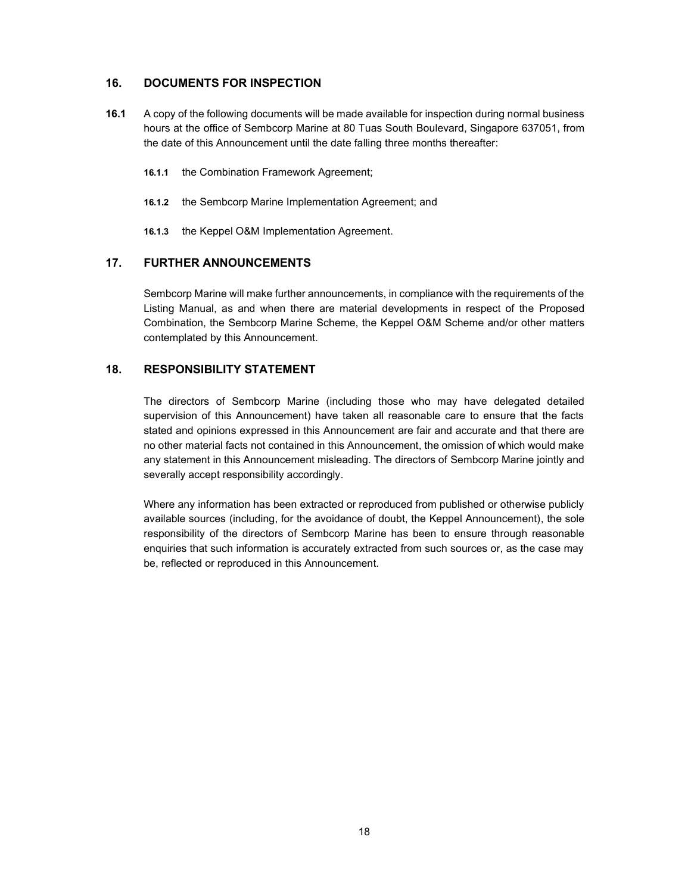## 16. DOCUMENTS FOR INSPECTION

- 16.1 A copy of the following documents will be made available for inspection during normal business hours at the office of Sembcorp Marine at 80 Tuas South Boulevard, Singapore 637051, from the date of this Announcement until the date falling three months thereafter:
	- 16.1.1 the Combination Framework Agreement;
	- 16.1.2 the Sembcorp Marine Implementation Agreement; and
	- 16.1.3 the Keppel O&M Implementation Agreement.

## 17. FURTHER ANNOUNCEMENTS

Sembcorp Marine will make further announcements, in compliance with the requirements of the Listing Manual, as and when there are material developments in respect of the Proposed Combination, the Sembcorp Marine Scheme, the Keppel O&M Scheme and/or other matters contemplated by this Announcement.

## 18. RESPONSIBILITY STATEMENT

The directors of Sembcorp Marine (including those who may have delegated detailed supervision of this Announcement) have taken all reasonable care to ensure that the facts stated and opinions expressed in this Announcement are fair and accurate and that there are no other material facts not contained in this Announcement, the omission of which would make any statement in this Announcement misleading. The directors of Sembcorp Marine jointly and severally accept responsibility accordingly.

Where any information has been extracted or reproduced from published or otherwise publicly available sources (including, for the avoidance of doubt, the Keppel Announcement), the sole responsibility of the directors of Sembcorp Marine has been to ensure through reasonable enquiries that such information is accurately extracted from such sources or, as the case may be, reflected or reproduced in this Announcement.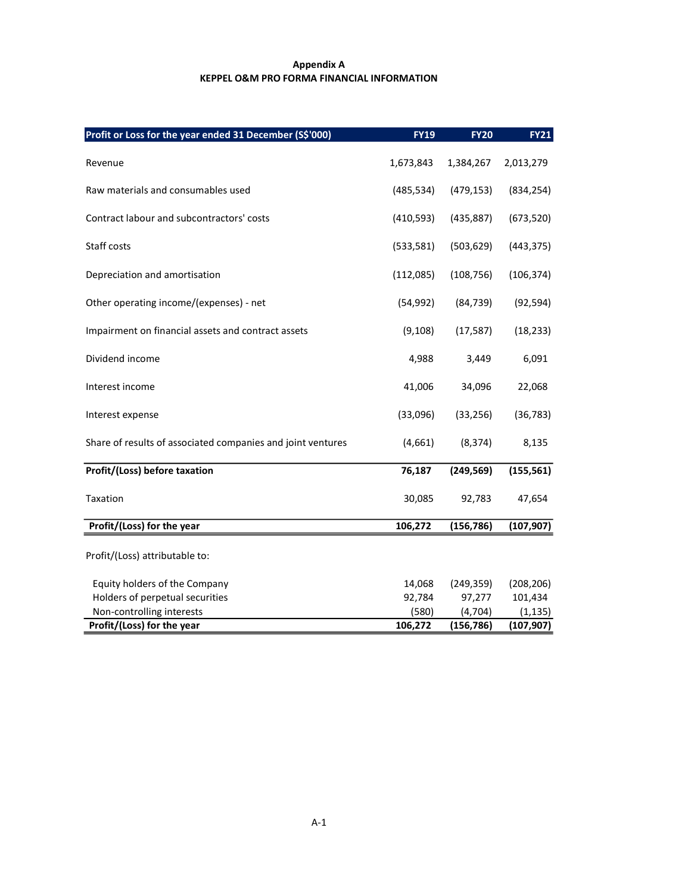## Appendix A KEPPEL O&M PRO FORMA FINANCIAL INFORMATION

| Profit or Loss for the year ended 31 December (S\$'000)     | FY19       | <b>FY20</b> | <b>FY21</b> |
|-------------------------------------------------------------|------------|-------------|-------------|
| Revenue                                                     | 1,673,843  | 1,384,267   | 2,013,279   |
| Raw materials and consumables used                          | (485, 534) | (479, 153)  | (834, 254)  |
| Contract labour and subcontractors' costs                   | (410, 593) | (435, 887)  | (673, 520)  |
| Staff costs                                                 | (533,581)  | (503, 629)  | (443, 375)  |
| Depreciation and amortisation                               | (112,085)  | (108, 756)  | (106, 374)  |
| Other operating income/(expenses) - net                     | (54, 992)  | (84, 739)   | (92, 594)   |
| Impairment on financial assets and contract assets          | (9, 108)   | (17, 587)   | (18, 233)   |
| Dividend income                                             | 4,988      | 3,449       | 6,091       |
| Interest income                                             | 41,006     | 34,096      | 22,068      |
| Interest expense                                            | (33,096)   | (33, 256)   | (36, 783)   |
| Share of results of associated companies and joint ventures | (4,661)    | (8, 374)    | 8,135       |
| Profit/(Loss) before taxation                               | 76,187     | (249, 569)  | (155, 561)  |
| Taxation                                                    | 30,085     | 92,783      | 47,654      |
| Profit/(Loss) for the year                                  | 106,272    | (156, 786)  | (107, 907)  |
| Profit/(Loss) attributable to:                              |            |             |             |
| Equity holders of the Company                               | 14,068     | (249, 359)  | (208, 206)  |
| Holders of perpetual securities                             | 92,784     | 97,277      | 101,434     |
| Non-controlling interests                                   | (580)      | (4, 704)    | (1, 135)    |
| Profit/(Loss) for the year                                  | 106,272    | (156, 786)  | (107, 907)  |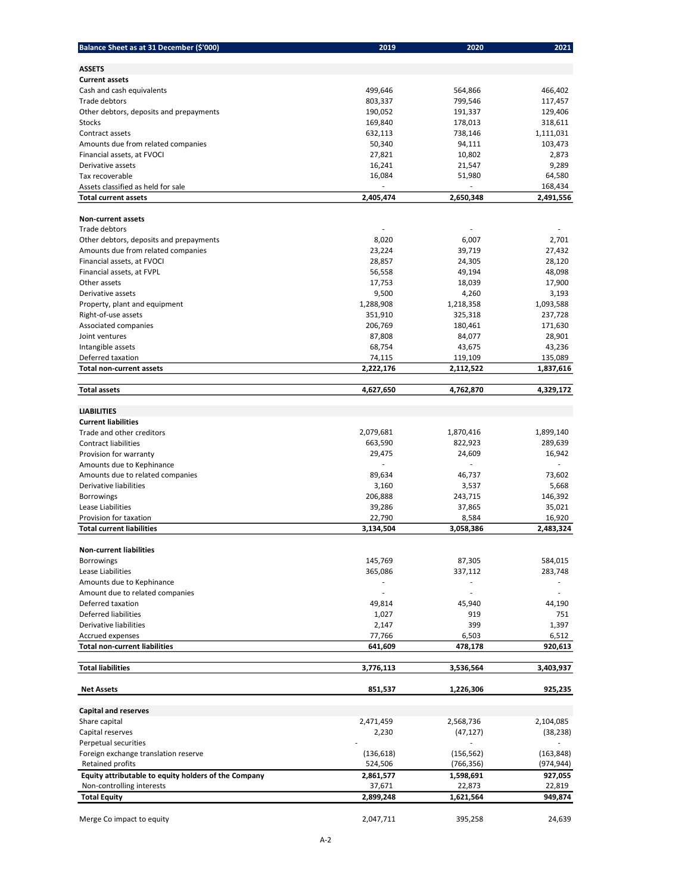| Balance Sheet as at 31 December (\$'000)             | 2019       | 2020       | 2021       |
|------------------------------------------------------|------------|------------|------------|
| <b>ASSETS</b>                                        |            |            |            |
| <b>Current assets</b>                                |            |            |            |
| Cash and cash equivalents                            | 499,646    | 564,866    | 466,402    |
| Trade debtors                                        | 803,337    | 799,546    | 117,457    |
| Other debtors, deposits and prepayments              | 190,052    | 191,337    | 129,406    |
| Stocks                                               | 169,840    | 178,013    | 318,611    |
| Contract assets                                      | 632,113    | 738,146    | 1,111,031  |
| Amounts due from related companies                   | 50,340     | 94,111     | 103,473    |
| Financial assets, at FVOCI                           | 27,821     | 10,802     | 2,873      |
| Derivative assets                                    | 16,241     | 21,547     | 9,289      |
| Tax recoverable                                      | 16,084     | 51,980     | 64,580     |
| Assets classified as held for sale                   |            |            | 168,434    |
| <b>Total current assets</b>                          | 2,405,474  | 2,650,348  | 2,491,556  |
| <b>Non-current assets</b>                            |            |            |            |
| Trade debtors                                        |            |            |            |
| Other debtors, deposits and prepayments              | 8,020      | 6,007      | 2,701      |
| Amounts due from related companies                   | 23,224     | 39,719     | 27,432     |
| Financial assets, at FVOCI                           | 28,857     | 24,305     | 28,120     |
|                                                      |            |            |            |
| Financial assets, at FVPL                            | 56,558     | 49,194     | 48,098     |
| Other assets                                         | 17,753     | 18,039     | 17,900     |
| Derivative assets                                    | 9,500      | 4,260      | 3,193      |
| Property, plant and equipment                        | 1,288,908  | 1,218,358  | 1,093,588  |
| Right-of-use assets                                  | 351,910    | 325,318    | 237,728    |
| Associated companies                                 | 206,769    | 180,461    | 171,630    |
| Joint ventures                                       | 87,808     | 84,077     | 28,901     |
| Intangible assets                                    | 68,754     | 43,675     | 43,236     |
| Deferred taxation                                    | 74,115     | 119,109    | 135,089    |
| <b>Total non-current assets</b>                      | 2,222,176  | 2,112,522  | 1,837,616  |
| <b>Total assets</b>                                  | 4,627,650  | 4,762,870  | 4,329,172  |
|                                                      |            |            |            |
| <b>LIABILITIES</b>                                   |            |            |            |
| <b>Current liabilities</b>                           |            |            |            |
| Trade and other creditors                            | 2,079,681  | 1,870,416  | 1,899,140  |
| <b>Contract liabilities</b>                          | 663,590    | 822,923    | 289,639    |
| Provision for warranty                               | 29,475     | 24,609     | 16,942     |
| Amounts due to Kephinance                            |            |            |            |
| Amounts due to related companies                     | 89,634     | 46,737     | 73,602     |
| Derivative liabilities                               | 3,160      | 3,537      | 5,668      |
| Borrowings                                           | 206,888    | 243,715    | 146,392    |
| Lease Liabilities                                    | 39,286     | 37,865     | 35,021     |
| Provision for taxation                               | 22,790     | 8,584      | 16,920     |
| <b>Total current liabilities</b>                     | 3,134,504  | 3,058,386  | 2,483,324  |
|                                                      |            |            |            |
| <b>Non-current liabilities</b>                       |            |            |            |
| <b>Borrowings</b>                                    | 145,769    | 87,305     | 584,015    |
| Lease Liabilities                                    | 365,086    | 337,112    | 283,748    |
| Amounts due to Kephinance                            |            |            |            |
| Amount due to related companies                      |            |            |            |
| Deferred taxation                                    | 49,814     | 45,940     | 44,190     |
| <b>Deferred liabilities</b>                          | 1,027      | 919        | 751        |
| Derivative liabilities                               | 2,147      | 399        | 1,397      |
| Accrued expenses                                     | 77,766     | 6,503      | 6,512      |
| <b>Total non-current liabilities</b>                 | 641,609    | 478,178    | 920,613    |
| <b>Total liabilities</b>                             | 3,776,113  | 3,536,564  | 3,403,937  |
|                                                      |            |            |            |
| <b>Net Assets</b>                                    | 851,537    | 1,226,306  | 925,235    |
| <b>Capital and reserves</b>                          |            |            |            |
| Share capital                                        | 2,471,459  | 2,568,736  | 2,104,085  |
| Capital reserves                                     | 2,230      | (47, 127)  | (38, 238)  |
| Perpetual securities                                 |            |            |            |
| Foreign exchange translation reserve                 | (136, 618) | (156, 562) | (163, 848) |
| Retained profits                                     | 524,506    | (766, 356) | (974, 944) |
| Equity attributable to equity holders of the Company | 2,861,577  | 1,598,691  | 927,055    |
| Non-controlling interests                            | 37,671     | 22,873     | 22,819     |
| <b>Total Equity</b>                                  | 2,899,248  | 1,621,564  | 949,874    |
|                                                      |            |            |            |
| Merge Co impact to equity                            | 2,047,711  | 395,258    | 24,639     |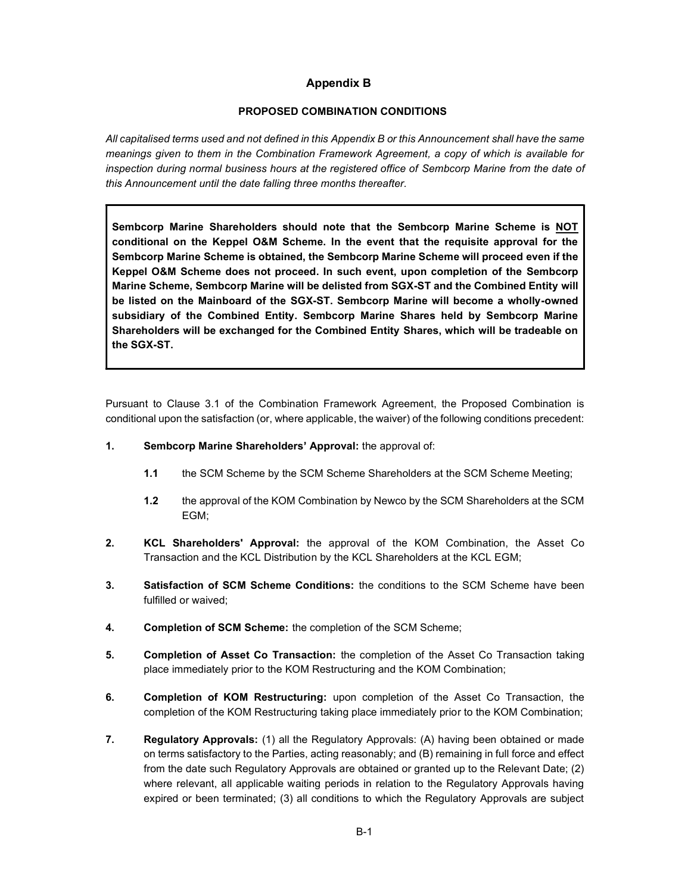# Appendix B

## PROPOSED COMBINATION CONDITIONS

All capitalised terms used and not defined in this Appendix B or this Announcement shall have the same meanings given to them in the Combination Framework Agreement, a copy of which is available for inspection during normal business hours at the registered office of Sembcorp Marine from the date of this Announcement until the date falling three months thereafter.

Sembcorp Marine Shareholders should note that the Sembcorp Marine Scheme is NOT conditional on the Keppel O&M Scheme. In the event that the requisite approval for the Sembcorp Marine Scheme is obtained, the Sembcorp Marine Scheme will proceed even if the Keppel O&M Scheme does not proceed. In such event, upon completion of the Sembcorp Marine Scheme, Sembcorp Marine will be delisted from SGX-ST and the Combined Entity will be listed on the Mainboard of the SGX-ST. Sembcorp Marine will become a wholly-owned subsidiary of the Combined Entity. Sembcorp Marine Shares held by Sembcorp Marine Shareholders will be exchanged for the Combined Entity Shares, which will be tradeable on the SGX-ST.

Pursuant to Clause 3.1 of the Combination Framework Agreement, the Proposed Combination is conditional upon the satisfaction (or, where applicable, the waiver) of the following conditions precedent:

- 1. Sembcorp Marine Shareholders' Approval: the approval of:
	- 1.1 the SCM Scheme by the SCM Scheme Shareholders at the SCM Scheme Meeting;
	- 1.2 the approval of the KOM Combination by Newco by the SCM Shareholders at the SCM EGM;
- 2. KCL Shareholders' Approval: the approval of the KOM Combination, the Asset Co Transaction and the KCL Distribution by the KCL Shareholders at the KCL EGM;
- 3. Satisfaction of SCM Scheme Conditions: the conditions to the SCM Scheme have been fulfilled or waived;
- 4. Completion of SCM Scheme: the completion of the SCM Scheme;
- 5. Completion of Asset Co Transaction: the completion of the Asset Co Transaction taking place immediately prior to the KOM Restructuring and the KOM Combination;
- 6. Completion of KOM Restructuring: upon completion of the Asset Co Transaction, the completion of the KOM Restructuring taking place immediately prior to the KOM Combination;
- 7. Regulatory Approvals: (1) all the Regulatory Approvals: (A) having been obtained or made on terms satisfactory to the Parties, acting reasonably; and (B) remaining in full force and effect from the date such Regulatory Approvals are obtained or granted up to the Relevant Date; (2) where relevant, all applicable waiting periods in relation to the Regulatory Approvals having expired or been terminated; (3) all conditions to which the Regulatory Approvals are subject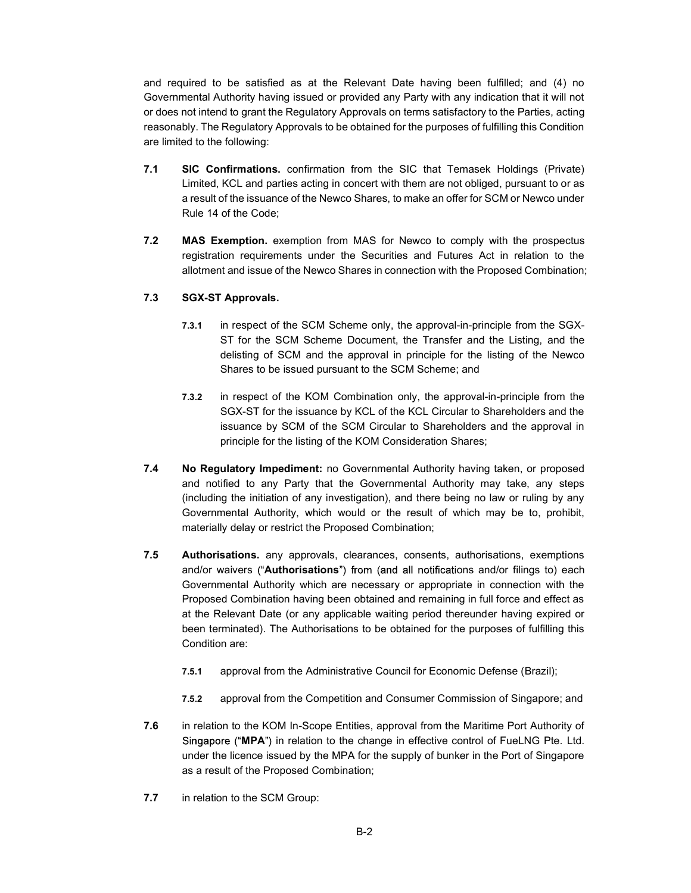and required to be satisfied as at the Relevant Date having been fulfilled; and (4) no Governmental Authority having issued or provided any Party with any indication that it will not or does not intend to grant the Regulatory Approvals on terms satisfactory to the Parties, acting reasonably. The Regulatory Approvals to be obtained for the purposes of fulfilling this Condition are limited to the following:

- 7.1 SIC Confirmations. confirmation from the SIC that Temasek Holdings (Private) Limited, KCL and parties acting in concert with them are not obliged, pursuant to or as a result of the issuance of the Newco Shares, to make an offer for SCM or Newco under Rule 14 of the Code;
- 7.2 MAS Exemption. exemption from MAS for Newco to comply with the prospectus registration requirements under the Securities and Futures Act in relation to the allotment and issue of the Newco Shares in connection with the Proposed Combination;

#### 7.3 SGX-ST Approvals.

- 7.3.1 in respect of the SCM Scheme only, the approval-in-principle from the SGX-ST for the SCM Scheme Document, the Transfer and the Listing, and the delisting of SCM and the approval in principle for the listing of the Newco Shares to be issued pursuant to the SCM Scheme; and
- 7.3.2 in respect of the KOM Combination only, the approval-in-principle from the SGX-ST for the issuance by KCL of the KCL Circular to Shareholders and the issuance by SCM of the SCM Circular to Shareholders and the approval in principle for the listing of the KOM Consideration Shares;
- 7.4 No Regulatory Impediment: no Governmental Authority having taken, or proposed and notified to any Party that the Governmental Authority may take, any steps (including the initiation of any investigation), and there being no law or ruling by any Governmental Authority, which would or the result of which may be to, prohibit, materially delay or restrict the Proposed Combination;
- 7.5 Authorisations. any approvals, clearances, consents, authorisations, exemptions and/or waivers ("Authorisations") from (and all notifications and/or filings to) each Governmental Authority which are necessary or appropriate in connection with the Proposed Combination having been obtained and remaining in full force and effect as at the Relevant Date (or any applicable waiting period thereunder having expired or been terminated). The Authorisations to be obtained for the purposes of fulfilling this Condition are:
	- 7.5.1 approval from the Administrative Council for Economic Defense (Brazil);
	- 7.5.2 approval from the Competition and Consumer Commission of Singapore; and
- 7.6 in relation to the KOM In-Scope Entities, approval from the Maritime Port Authority of Singapore ("MPA") in relation to the change in effective control of FueLNG Pte. Ltd. under the licence issued by the MPA for the supply of bunker in the Port of Singapore as a result of the Proposed Combination;
- 7.7 in relation to the SCM Group: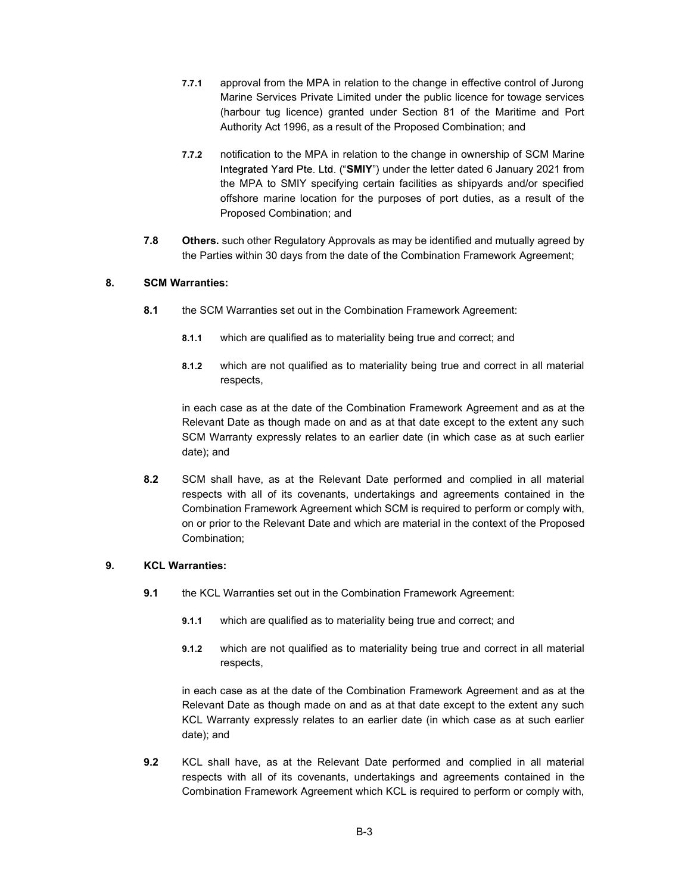- 7.7.1 approval from the MPA in relation to the change in effective control of Jurong Marine Services Private Limited under the public licence for towage services (harbour tug licence) granted under Section 81 of the Maritime and Port Authority Act 1996, as a result of the Proposed Combination; and
- 7.7.2 notification to the MPA in relation to the change in ownership of SCM Marine Integrated Yard Pte. Ltd. ("SMIY") under the letter dated 6 January 2021 from the MPA to SMIY specifying certain facilities as shipyards and/or specified offshore marine location for the purposes of port duties, as a result of the Proposed Combination; and
- 7.8 Others. such other Regulatory Approvals as may be identified and mutually agreed by the Parties within 30 days from the date of the Combination Framework Agreement;

#### 8. SCM Warranties:

- 8.1 the SCM Warranties set out in the Combination Framework Agreement:
	- 8.1.1 which are qualified as to materiality being true and correct; and
	- 8.1.2 which are not qualified as to materiality being true and correct in all material respects,

in each case as at the date of the Combination Framework Agreement and as at the Relevant Date as though made on and as at that date except to the extent any such SCM Warranty expressly relates to an earlier date (in which case as at such earlier date); and

8.2 SCM shall have, as at the Relevant Date performed and complied in all material respects with all of its covenants, undertakings and agreements contained in the Combination Framework Agreement which SCM is required to perform or comply with, on or prior to the Relevant Date and which are material in the context of the Proposed Combination;

#### 9. KCL Warranties:

- 9.1 the KCL Warranties set out in the Combination Framework Agreement:
	- 9.1.1 which are qualified as to materiality being true and correct; and
	- 9.1.2 which are not qualified as to materiality being true and correct in all material respects,

in each case as at the date of the Combination Framework Agreement and as at the Relevant Date as though made on and as at that date except to the extent any such KCL Warranty expressly relates to an earlier date (in which case as at such earlier date); and

9.2 KCL shall have, as at the Relevant Date performed and complied in all material respects with all of its covenants, undertakings and agreements contained in the Combination Framework Agreement which KCL is required to perform or comply with,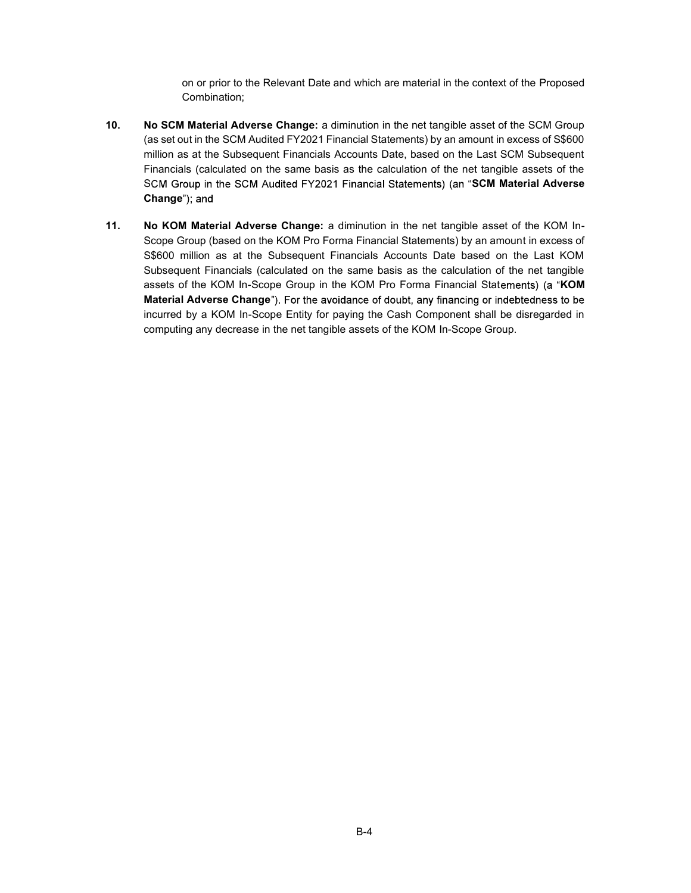on or prior to the Relevant Date and which are material in the context of the Proposed Combination;

- 10. No SCM Material Adverse Change: a diminution in the net tangible asset of the SCM Group (as set out in the SCM Audited FY2021 Financial Statements) by an amount in excess of S\$600 million as at the Subsequent Financials Accounts Date, based on the Last SCM Subsequent Financials (calculated on the same basis as the calculation of the net tangible assets of the SCM Group in the SCM Audited FY2021 Financial Statements) (an "SCM Material Adverse Change"); and
- 11. No KOM Material Adverse Change: a diminution in the net tangible asset of the KOM In-Scope Group (based on the KOM Pro Forma Financial Statements) by an amount in excess of S\$600 million as at the Subsequent Financials Accounts Date based on the Last KOM Subsequent Financials (calculated on the same basis as the calculation of the net tangible assets of the KOM In-Scope Group in the KOM Pro Forma Financial Statements) (a "KOM Material Adverse Change"). For the avoidance of doubt, any financing or indebtedness to be incurred by a KOM In-Scope Entity for paying the Cash Component shall be disregarded in computing any decrease in the net tangible assets of the KOM In-Scope Group.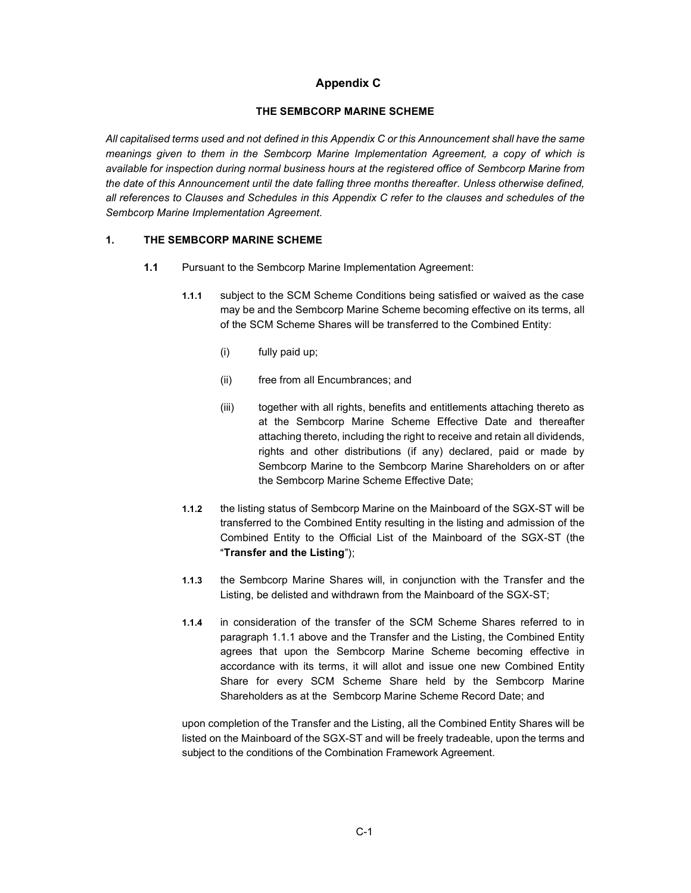# Appendix C

#### THE SEMBCORP MARINE SCHEME

All capitalised terms used and not defined in this Appendix C or this Announcement shall have the same meanings given to them in the Sembcorp Marine Implementation Agreement, a copy of which is available for inspection during normal business hours at the registered office of Sembcorp Marine from the date of this Announcement until the date falling three months thereafter. Unless otherwise defined, all references to Clauses and Schedules in this Appendix C refer to the clauses and schedules of the Sembcorp Marine Implementation Agreement.

## 1. THE SEMBCORP MARINE SCHEME

- 1.1 Pursuant to the Sembcorp Marine Implementation Agreement:
	- 1.1.1 subject to the SCM Scheme Conditions being satisfied or waived as the case may be and the Sembcorp Marine Scheme becoming effective on its terms, all of the SCM Scheme Shares will be transferred to the Combined Entity:
		- (i) fully paid up;
		- (ii) free from all Encumbrances; and
		- (iii) together with all rights, benefits and entitlements attaching thereto as at the Sembcorp Marine Scheme Effective Date and thereafter attaching thereto, including the right to receive and retain all dividends, rights and other distributions (if any) declared, paid or made by Sembcorp Marine to the Sembcorp Marine Shareholders on or after the Sembcorp Marine Scheme Effective Date;
	- 1.1.2 the listing status of Sembcorp Marine on the Mainboard of the SGX-ST will be transferred to the Combined Entity resulting in the listing and admission of the Combined Entity to the Official List of the Mainboard of the SGX-ST (the "Transfer and the Listing");
	- 1.1.3 the Sembcorp Marine Shares will, in conjunction with the Transfer and the Listing, be delisted and withdrawn from the Mainboard of the SGX-ST;
	- 1.1.4 in consideration of the transfer of the SCM Scheme Shares referred to in paragraph 1.1.1 above and the Transfer and the Listing, the Combined Entity agrees that upon the Sembcorp Marine Scheme becoming effective in accordance with its terms, it will allot and issue one new Combined Entity Share for every SCM Scheme Share held by the Sembcorp Marine Shareholders as at the Sembcorp Marine Scheme Record Date; and

upon completion of the Transfer and the Listing, all the Combined Entity Shares will be listed on the Mainboard of the SGX-ST and will be freely tradeable, upon the terms and subject to the conditions of the Combination Framework Agreement.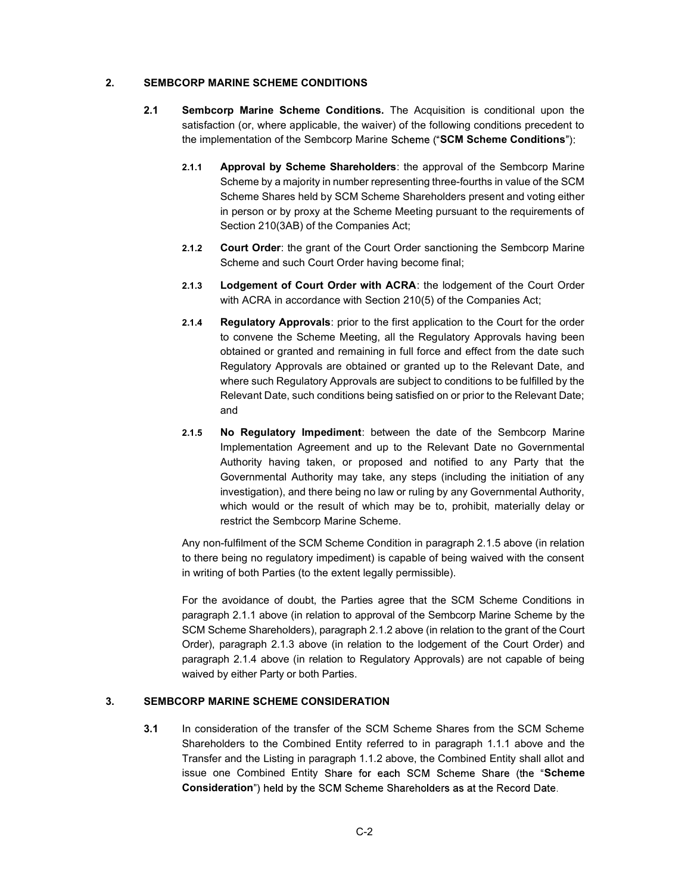#### 2. SEMBCORP MARINE SCHEME CONDITIONS

- 2.1 Sembcorp Marine Scheme Conditions. The Acquisition is conditional upon the satisfaction (or, where applicable, the waiver) of the following conditions precedent to the implementation of the Sembcorp Marine Scheme ("SCM Scheme Conditions"):
	- 2.1.1 Approval by Scheme Shareholders: the approval of the Sembcorp Marine Scheme by a majority in number representing three-fourths in value of the SCM Scheme Shares held by SCM Scheme Shareholders present and voting either in person or by proxy at the Scheme Meeting pursuant to the requirements of Section 210(3AB) of the Companies Act;
	- 2.1.2 Court Order: the grant of the Court Order sanctioning the Sembcorp Marine Scheme and such Court Order having become final;
	- 2.1.3 Lodgement of Court Order with ACRA: the lodgement of the Court Order with ACRA in accordance with Section 210(5) of the Companies Act;
	- 2.1.4 Regulatory Approvals: prior to the first application to the Court for the order to convene the Scheme Meeting, all the Regulatory Approvals having been obtained or granted and remaining in full force and effect from the date such Regulatory Approvals are obtained or granted up to the Relevant Date, and where such Regulatory Approvals are subject to conditions to be fulfilled by the Relevant Date, such conditions being satisfied on or prior to the Relevant Date; and
	- 2.1.5 No Regulatory Impediment: between the date of the Sembcorp Marine Implementation Agreement and up to the Relevant Date no Governmental Authority having taken, or proposed and notified to any Party that the Governmental Authority may take, any steps (including the initiation of any investigation), and there being no law or ruling by any Governmental Authority, which would or the result of which may be to, prohibit, materially delay or restrict the Sembcorp Marine Scheme.

Any non-fulfilment of the SCM Scheme Condition in paragraph 2.1.5 above (in relation to there being no regulatory impediment) is capable of being waived with the consent in writing of both Parties (to the extent legally permissible).

For the avoidance of doubt, the Parties agree that the SCM Scheme Conditions in paragraph 2.1.1 above (in relation to approval of the Sembcorp Marine Scheme by the SCM Scheme Shareholders), paragraph 2.1.2 above (in relation to the grant of the Court Order), paragraph 2.1.3 above (in relation to the lodgement of the Court Order) and paragraph 2.1.4 above (in relation to Regulatory Approvals) are not capable of being waived by either Party or both Parties.

## 3. SEMBCORP MARINE SCHEME CONSIDERATION

3.1 In consideration of the transfer of the SCM Scheme Shares from the SCM Scheme Shareholders to the Combined Entity referred to in paragraph 1.1.1 above and the Transfer and the Listing in paragraph 1.1.2 above, the Combined Entity shall allot and issue one Combined Entity Share for each SCM Scheme Share (the "Scheme Consideration") held by the SCM Scheme Shareholders as at the Record Date.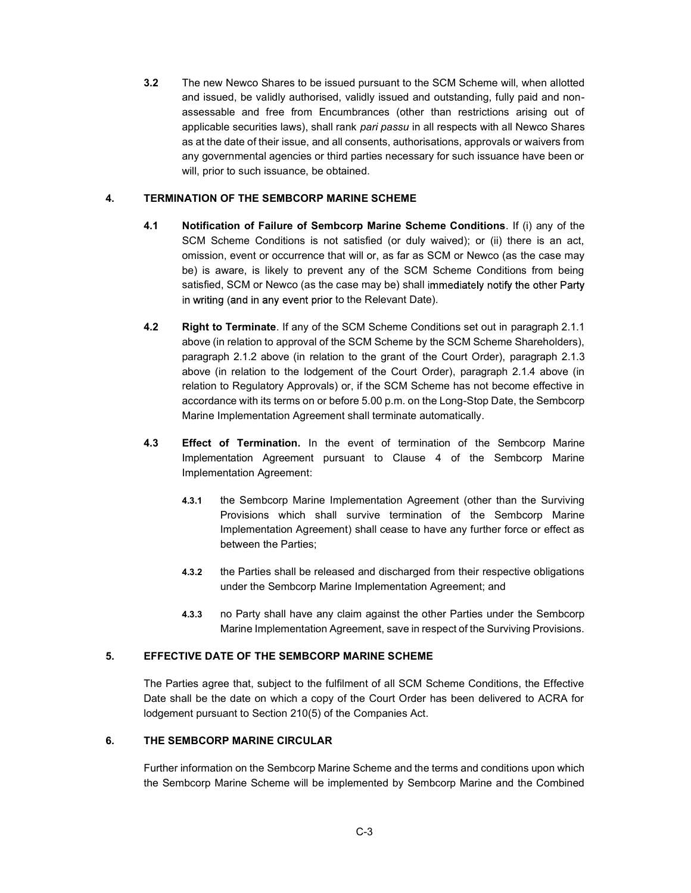3.2 The new Newco Shares to be issued pursuant to the SCM Scheme will, when allotted and issued, be validly authorised, validly issued and outstanding, fully paid and nonassessable and free from Encumbrances (other than restrictions arising out of applicable securities laws), shall rank pari passu in all respects with all Newco Shares as at the date of their issue, and all consents, authorisations, approvals or waivers from any governmental agencies or third parties necessary for such issuance have been or will, prior to such issuance, be obtained.

#### 4. TERMINATION OF THE SEMBCORP MARINE SCHEME

- 4.1 Notification of Failure of Sembcorp Marine Scheme Conditions. If (i) any of the SCM Scheme Conditions is not satisfied (or duly waived); or (ii) there is an act, omission, event or occurrence that will or, as far as SCM or Newco (as the case may be) is aware, is likely to prevent any of the SCM Scheme Conditions from being satisfied, SCM or Newco (as the case may be) shall immediately notify the other Party in writing (and in any event prior to the Relevant Date).
- 4.2 Right to Terminate. If any of the SCM Scheme Conditions set out in paragraph 2.1.1 above (in relation to approval of the SCM Scheme by the SCM Scheme Shareholders), paragraph 2.1.2 above (in relation to the grant of the Court Order), paragraph 2.1.3 above (in relation to the lodgement of the Court Order), paragraph 2.1.4 above (in relation to Regulatory Approvals) or, if the SCM Scheme has not become effective in accordance with its terms on or before 5.00 p.m. on the Long-Stop Date, the Sembcorp Marine Implementation Agreement shall terminate automatically.
- 4.3 Effect of Termination. In the event of termination of the Sembcorp Marine Implementation Agreement pursuant to Clause 4 of the Sembcorp Marine Implementation Agreement:
	- 4.3.1 the Sembcorp Marine Implementation Agreement (other than the Surviving Provisions which shall survive termination of the Sembcorp Marine Implementation Agreement) shall cease to have any further force or effect as between the Parties;
	- 4.3.2 the Parties shall be released and discharged from their respective obligations under the Sembcorp Marine Implementation Agreement; and
	- 4.3.3 no Party shall have any claim against the other Parties under the Sembcorp Marine Implementation Agreement, save in respect of the Surviving Provisions.

#### 5. EFFECTIVE DATE OF THE SEMBCORP MARINE SCHEME

The Parties agree that, subject to the fulfilment of all SCM Scheme Conditions, the Effective Date shall be the date on which a copy of the Court Order has been delivered to ACRA for lodgement pursuant to Section 210(5) of the Companies Act.

## 6. THE SEMBCORP MARINE CIRCULAR

Further information on the Sembcorp Marine Scheme and the terms and conditions upon which the Sembcorp Marine Scheme will be implemented by Sembcorp Marine and the Combined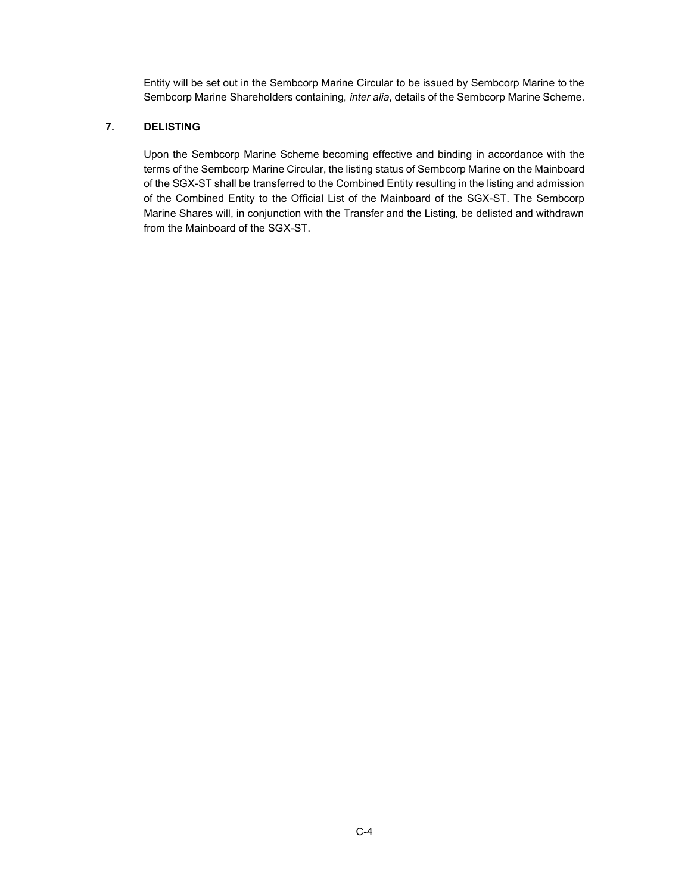Entity will be set out in the Sembcorp Marine Circular to be issued by Sembcorp Marine to the Sembcorp Marine Shareholders containing, inter alia, details of the Sembcorp Marine Scheme.

## 7. DELISTING

Upon the Sembcorp Marine Scheme becoming effective and binding in accordance with the terms of the Sembcorp Marine Circular, the listing status of Sembcorp Marine on the Mainboard of the SGX-ST shall be transferred to the Combined Entity resulting in the listing and admission of the Combined Entity to the Official List of the Mainboard of the SGX-ST. The Sembcorp Marine Shares will, in conjunction with the Transfer and the Listing, be delisted and withdrawn from the Mainboard of the SGX-ST.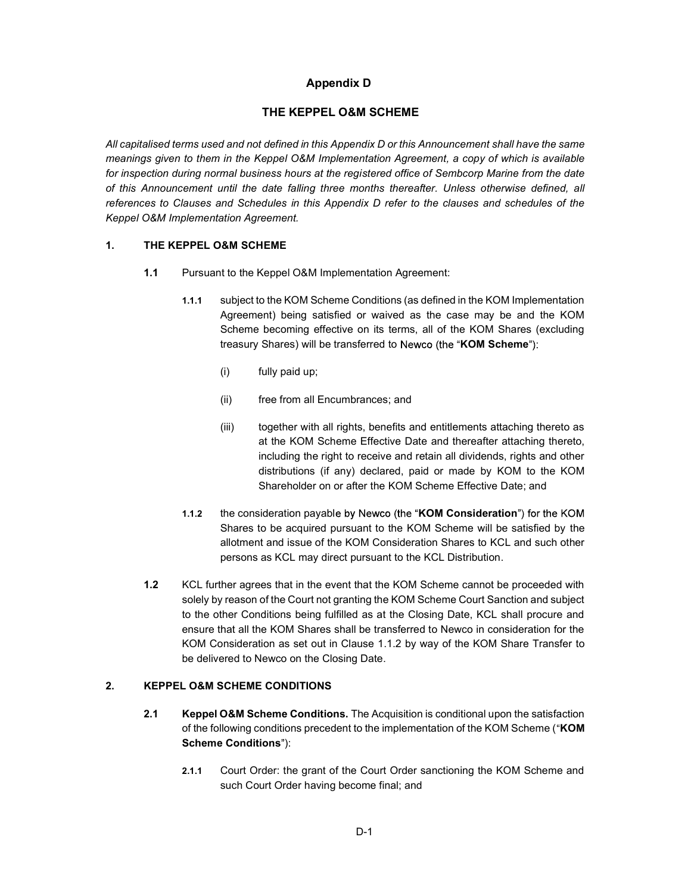# Appendix D

## THE KEPPEL O&M SCHEME

All capitalised terms used and not defined in this Appendix D or this Announcement shall have the same meanings given to them in the Keppel O&M Implementation Agreement, a copy of which is available for inspection during normal business hours at the registered office of Sembcorp Marine from the date of this Announcement until the date falling three months thereafter. Unless otherwise defined, all references to Clauses and Schedules in this Appendix D refer to the clauses and schedules of the Keppel O&M Implementation Agreement.

## 1. THE KEPPEL O&M SCHEME

- 1.1 Pursuant to the Keppel O&M Implementation Agreement:
	- 1.1.1 subject to the KOM Scheme Conditions (as defined in the KOM Implementation Agreement) being satisfied or waived as the case may be and the KOM Scheme becoming effective on its terms, all of the KOM Shares (excluding treasury Shares) will be transferred to Newco (the "KOM Scheme"):
		- (i) fully paid up;
		- (ii) free from all Encumbrances; and
		- (iii) together with all rights, benefits and entitlements attaching thereto as at the KOM Scheme Effective Date and thereafter attaching thereto, including the right to receive and retain all dividends, rights and other distributions (if any) declared, paid or made by KOM to the KOM Shareholder on or after the KOM Scheme Effective Date; and
	- 1.1.2 the consideration payable by Newco (the "KOM Consideration") for the KOM Shares to be acquired pursuant to the KOM Scheme will be satisfied by the allotment and issue of the KOM Consideration Shares to KCL and such other persons as KCL may direct pursuant to the KCL Distribution.
- 1.2 KCL further agrees that in the event that the KOM Scheme cannot be proceeded with solely by reason of the Court not granting the KOM Scheme Court Sanction and subject to the other Conditions being fulfilled as at the Closing Date, KCL shall procure and ensure that all the KOM Shares shall be transferred to Newco in consideration for the KOM Consideration as set out in Clause 1.1.2 by way of the KOM Share Transfer to be delivered to Newco on the Closing Date.

#### 2. KEPPEL O&M SCHEME CONDITIONS

- 2.1 Keppel O&M Scheme Conditions. The Acquisition is conditional upon the satisfaction of the following conditions precedent to the implementation of the KOM Scheme ("KOM Scheme Conditions"):
	- 2.1.1 Court Order: the grant of the Court Order sanctioning the KOM Scheme and such Court Order having become final; and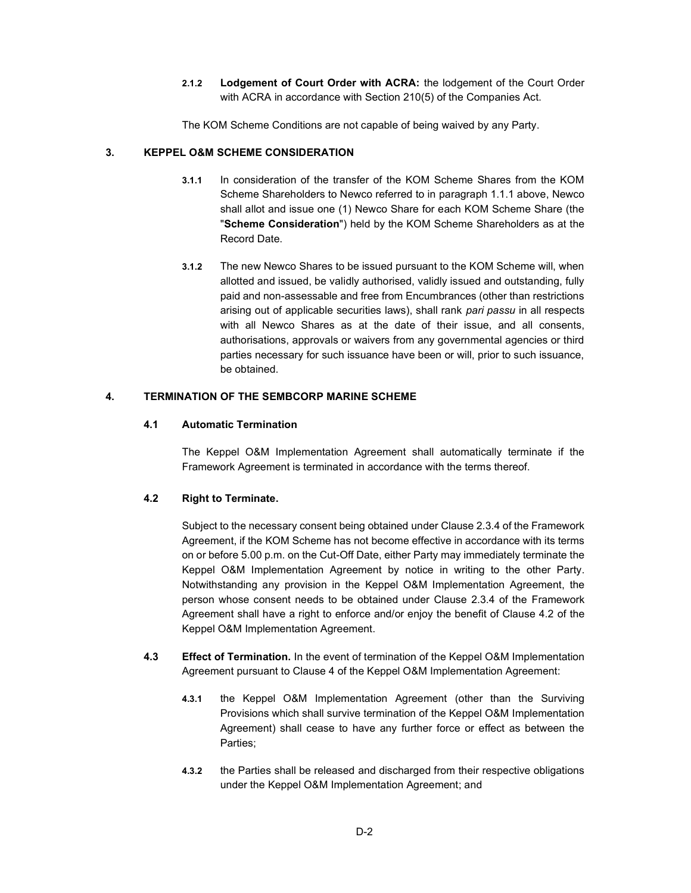2.1.2 Lodgement of Court Order with ACRA: the lodgement of the Court Order with ACRA in accordance with Section 210(5) of the Companies Act.

The KOM Scheme Conditions are not capable of being waived by any Party.

#### 3. KEPPEL O&M SCHEME CONSIDERATION

- 3.1.1 In consideration of the transfer of the KOM Scheme Shares from the KOM Scheme Shareholders to Newco referred to in paragraph 1.1.1 above, Newco shall allot and issue one (1) Newco Share for each KOM Scheme Share (the "Scheme Consideration") held by the KOM Scheme Shareholders as at the Record Date.
- 3.1.2 The new Newco Shares to be issued pursuant to the KOM Scheme will, when allotted and issued, be validly authorised, validly issued and outstanding, fully paid and non-assessable and free from Encumbrances (other than restrictions arising out of applicable securities laws), shall rank pari passu in all respects with all Newco Shares as at the date of their issue, and all consents, authorisations, approvals or waivers from any governmental agencies or third parties necessary for such issuance have been or will, prior to such issuance, be obtained.

## 4. TERMINATION OF THE SEMBCORP MARINE SCHEME

#### 4.1 Automatic Termination

The Keppel O&M Implementation Agreement shall automatically terminate if the Framework Agreement is terminated in accordance with the terms thereof.

#### 4.2 Right to Terminate.

Subject to the necessary consent being obtained under Clause 2.3.4 of the Framework Agreement, if the KOM Scheme has not become effective in accordance with its terms on or before 5.00 p.m. on the Cut-Off Date, either Party may immediately terminate the Keppel O&M Implementation Agreement by notice in writing to the other Party. Notwithstanding any provision in the Keppel O&M Implementation Agreement, the person whose consent needs to be obtained under Clause 2.3.4 of the Framework Agreement shall have a right to enforce and/or enjoy the benefit of Clause 4.2 of the Keppel O&M Implementation Agreement.

- 4.3 Effect of Termination. In the event of termination of the Keppel O&M Implementation Agreement pursuant to Clause 4 of the Keppel O&M Implementation Agreement:
	- 4.3.1 the Keppel O&M Implementation Agreement (other than the Surviving Provisions which shall survive termination of the Keppel O&M Implementation Agreement) shall cease to have any further force or effect as between the Parties;
	- 4.3.2 the Parties shall be released and discharged from their respective obligations under the Keppel O&M Implementation Agreement; and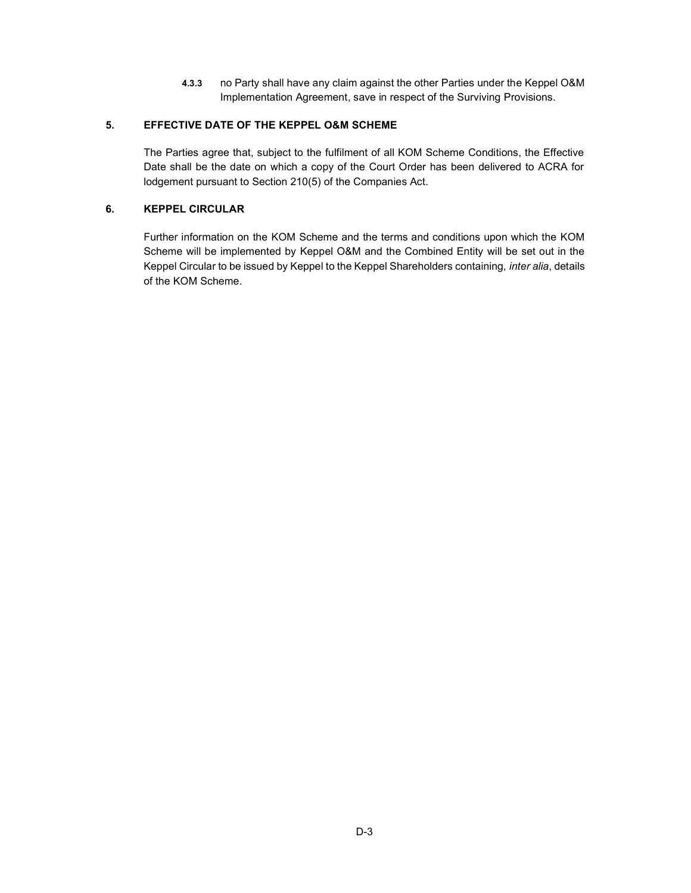4.3.3 no Party shall have any claim against the other Parties under the Keppel O&M Implementation Agreement, save in respect of the Surviving Provisions.

## 5. EFFECTIVE DATE OF THE KEPPEL O&M SCHEME

The Parties agree that, subject to the fulfilment of all KOM Scheme Conditions, the Effective Date shall be the date on which a copy of the Court Order has been delivered to ACRA for lodgement pursuant to Section 210(5) of the Companies Act.

## 6. KEPPEL CIRCULAR

Further information on the KOM Scheme and the terms and conditions upon which the KOM Scheme will be implemented by Keppel O&M and the Combined Entity will be set out in the Keppel Circular to be issued by Keppel to the Keppel Shareholders containing, inter alia, details of the KOM Scheme.